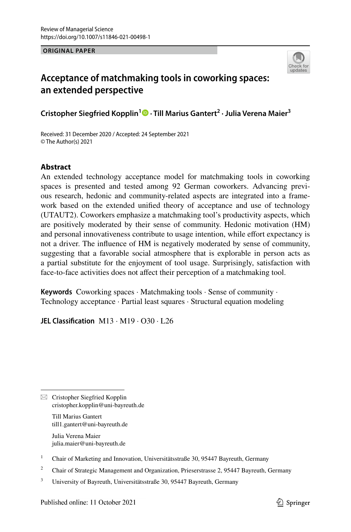**ORIGINAL PAPER**



# **Acceptance of matchmaking tools in coworking spaces: an extended perspective**

**Cristopher Siegfried Kopplin1 · Till Marius Gantert<sup>2</sup> · Julia Verena Maier3**

Received: 31 December 2020 / Accepted: 24 September 2021 © The Author(s) 2021

## **Abstract**

An extended technology acceptance model for matchmaking tools in coworking spaces is presented and tested among 92 German coworkers. Advancing previous research, hedonic and community-related aspects are integrated into a framework based on the extended unifed theory of acceptance and use of technology (UTAUT2). Coworkers emphasize a matchmaking tool's productivity aspects, which are positively moderated by their sense of community. Hedonic motivation (HM) and personal innovativeness contribute to usage intention, while efort expectancy is not a driver. The infuence of HM is negatively moderated by sense of community, suggesting that a favorable social atmosphere that is explorable in person acts as a partial substitute for the enjoyment of tool usage. Surprisingly, satisfaction with face-to-face activities does not affect their perception of a matchmaking tool.

**Keywords** Coworking spaces · Matchmaking tools · Sense of community · Technology acceptance · Partial least squares · Structural equation modeling

**JEL Classifcation** M13 · M19 · O30 · L26

 $\boxtimes$  Cristopher Siegfried Kopplin cristopher.kopplin@uni-bayreuth.de

> Till Marius Gantert till1.gantert@uni-bayreuth.de

Julia Verena Maier julia.maier@uni-bayreuth.de

<sup>1</sup> Chair of Marketing and Innovation, Universitätsstraße 30, 95447 Bayreuth, Germany

<sup>2</sup> Chair of Strategic Management and Organization, Prieserstrasse 2, 95447 Bayreuth, Germany

<sup>3</sup> University of Bayreuth, Universitätsstraße 30, 95447 Bayreuth, Germany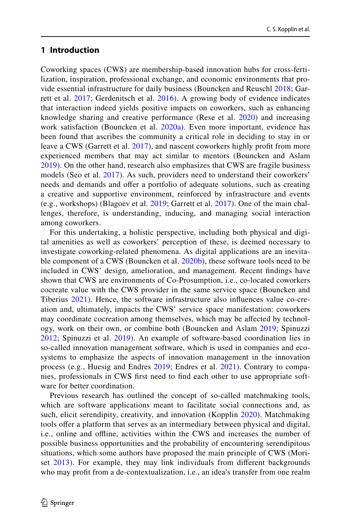### **1 Introduction**

Coworking spaces (CWS) are membership-based innovation hubs for cross-fertilization, inspiration, professional exchange, and economic environments that provide essential infrastructure for daily business (Bouncken and Reuschl [2018](#page-30-0); Garrett et al. [2017](#page-31-0); Gerdenitsch et al. [2016\)](#page-31-1). A growing body of evidence indicates that interaction indeed yields positive impacts on coworkers, such as enhancing knowledge sharing and creative performance (Rese et al. [2020\)](#page-32-0) and increasing work satisfaction (Bouncken et al. [2020a\)](#page-30-1). Even more important, evidence has been found that ascribes the community a critical role in deciding to stay in or leave a CWS (Garrett et al. [2017\)](#page-31-0), and nascent coworkers highly proft from more experienced members that may act similar to mentors (Bouncken and Aslam [2019\)](#page-30-2). On the other hand, research also emphasizes that CWS are fragile business models (Seo et al. [2017\)](#page-32-1). As such, providers need to understand their coworkers' needs and demands and offer a portfolio of adequate solutions, such as creating a creative and supportive environment, reinforced by infrastructure and events (e.g., workshops) (Blagoev et al. [2019;](#page-30-3) Garrett et al. [2017\)](#page-31-0). One of the main challenges, therefore, is understanding, inducing, and managing social interaction among coworkers.

For this undertaking, a holistic perspective, including both physical and digital amenities as well as coworkers' perception of these, is deemed necessary to investigate coworking-related phenomena. As digital applications are an inevita-ble component of a CWS (Bouncken et al. [2020b\)](#page-30-4), these software tools need to be included in CWS' design, amelioration, and management. Recent fndings have shown that CWS are environments of Co-Prosumption, i.e., co-located coworkers cocreate value with the CWS provider in the same service space (Bouncken and Tiberius [2021\)](#page-30-5). Hence, the software infrastructure also infuences value co-creation and, ultimately, impacts the CWS' service space manifestation: coworkers may coordinate cocreation among themselves, which may be afected by technology, work on their own, or combine both (Bouncken and Aslam [2019](#page-30-2); Spinuzzi [2012;](#page-32-2) Spinuzzi et al. [2019\)](#page-32-3). An example of software-based coordination lies in so-called innovation management software, which is used in companies and ecosystems to emphasize the aspects of innovation management in the innovation process (e.g., Huesig and Endres [2019](#page-31-2); Endres et al. [2021](#page-30-6)). Contrary to companies, professionals in CWS frst need to fnd each other to use appropriate software for better coordination.

Previous research has outlined the concept of so-called matchmaking tools, which are software applications meant to facilitate social connections and, as such, elicit serendipity, creativity, and innovation (Kopplin [2020](#page-31-3)). Matchmaking tools ofer a platform that serves as an intermediary between physical and digital, i.e., online and ofine, activities within the CWS and increases the number of possible business opportunities and the probability of encountering serendipitous situations, which some authors have proposed the main principle of CWS (Mori-set [2013](#page-32-4)). For example, they may link individuals from different backgrounds who may proft from a de-contextualization, i.e., an idea's transfer from one realm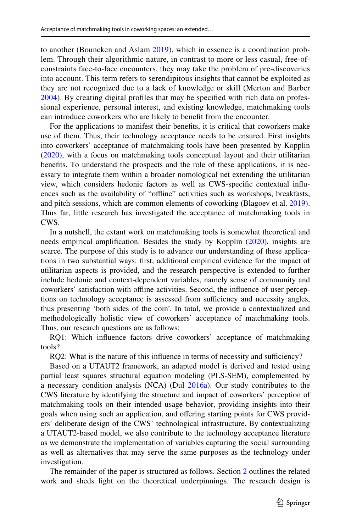to another (Bouncken and Aslam [2019\)](#page-30-2), which in essence is a coordination problem. Through their algorithmic nature, in contrast to more or less casual, free-ofconstraints face-to-face encounters, they may take the problem of pre-discoveries into account. This term refers to serendipitous insights that cannot be exploited as they are not recognized due to a lack of knowledge or skill (Merton and Barber [2004\)](#page-32-5). By creating digital profles that may be specifed with rich data on professional experience, personal interest, and existing knowledge, matchmaking tools can introduce coworkers who are likely to beneft from the encounter.

For the applications to manifest their benefts, it is critical that coworkers make use of them. Thus, their technology acceptance needs to be ensured. First insights into coworkers' acceptance of matchmaking tools have been presented by Kopplin [\(2020](#page-31-3)), with a focus on matchmaking tools conceptual layout and their utilitarian benefts. To understand the prospects and the role of these applications, it is necessary to integrate them within a broader nomological net extending the utilitarian view, which considers hedonic factors as well as CWS-specifc contextual infuences such as the availability of "ofine" activities such as workshops, breakfasts, and pitch sessions, which are common elements of coworking (Blagoev et al. [2019\)](#page-30-3). Thus far, little research has investigated the acceptance of matchmaking tools in CWS.

In a nutshell, the extant work on matchmaking tools is somewhat theoretical and needs empirical amplifcation. Besides the study by Kopplin ([2020\)](#page-31-3), insights are scarce. The purpose of this study is to advance our understanding of these applications in two substantial ways: frst, additional empirical evidence for the impact of utilitarian aspects is provided, and the research perspective is extended to further include hedonic and context-dependent variables, namely sense of community and coworkers' satisfaction with ofine activities. Second, the infuence of user perceptions on technology acceptance is assessed from sufficiency and necessity angles, thus presenting 'both sides of the coin'. In total, we provide a contextualized and methodologically holistic view of coworkers' acceptance of matchmaking tools. Thus, our research questions are as follows:

RQ1: Which infuence factors drive coworkers' acceptance of matchmaking tools?

RQ2: What is the nature of this influence in terms of necessity and sufficiency?

Based on a UTAUT2 framework, an adapted model is derived and tested using partial least squares structural equation modeling (PLS-SEM), complemented by a necessary condition analysis (NCA) (Dul [2016a\)](#page-30-7). Our study contributes to the CWS literature by identifying the structure and impact of coworkers' perception of matchmaking tools on their intended usage behavior, providing insights into their goals when using such an application, and ofering starting points for CWS providers' deliberate design of the CWS' technological infrastructure. By contextualizing a UTAUT2-based model, we also contribute to the technology acceptance literature as we demonstrate the implementation of variables capturing the social surrounding as well as alternatives that may serve the same purposes as the technology under investigation.

The remainder of the paper is structured as follows. Section [2](#page-3-0) outlines the related work and sheds light on the theoretical underpinnings. The research design is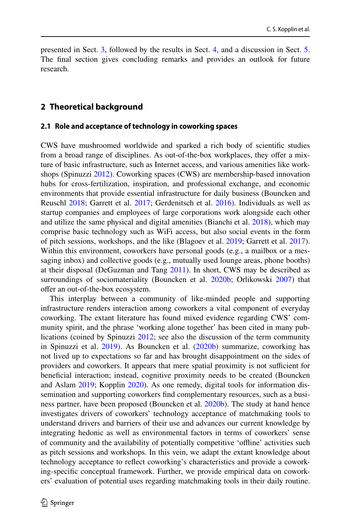presented in Sect. [3](#page-9-0), followed by the results in Sect. [4](#page-10-0), and a discussion in Sect. [5.](#page-18-0) The fnal section gives concluding remarks and provides an outlook for future research.

#### <span id="page-3-0"></span>**2 Theoretical background**

#### **2.1 Role and acceptance of technology in coworking spaces**

CWS have mushroomed worldwide and sparked a rich body of scientifc studies from a broad range of disciplines. As out-of-the-box workplaces, they offer a mixture of basic infrastructure, such as Internet access, and various amenities like workshops (Spinuzzi [2012\)](#page-32-2). Coworking spaces (CWS) are membership-based innovation hubs for cross-fertilization, inspiration, and professional exchange, and economic environments that provide essential infrastructure for daily business (Bouncken and Reuschl [2018](#page-30-0); Garrett et al. [2017](#page-31-0); Gerdenitsch et al. [2016\)](#page-31-1). Individuals as well as startup companies and employees of large corporations work alongside each other and utilize the same physical and digital amenities (Bianchi et al. [2018\)](#page-30-8), which may comprise basic technology such as WiFi access, but also social events in the form of pitch sessions, workshops, and the like (Blagoev et al. [2019](#page-30-3); Garrett et al. [2017\)](#page-31-0). Within this environment, coworkers have personal goods (e.g., a mailbox or a messaging inbox) and collective goods (e.g., mutually used lounge areas, phone booths) at their disposal (DeGuzman and Tang [2011](#page-30-9)). In short, CWS may be described as surroundings of sociomateriality (Bouncken et al. [2020b](#page-30-4); Orlikowski [2007](#page-32-6)) that offer an out-of-the-box ecosystem.

This interplay between a community of like-minded people and supporting infrastructure renders interaction among coworkers a vital component of everyday coworking. The extant literature has found mixed evidence regarding CWS' community spirit, and the phrase 'working alone together' has been cited in many publications (coined by Spinuzzi [2012](#page-32-2); see also the discussion of the term community in Spinuzzi et al. [2019](#page-32-3)). As Bouncken et al. [\(2020b](#page-30-4)) summarize, coworking has not lived up to expectations so far and has brought disappointment on the sides of providers and coworkers. It appears that mere spatial proximity is not sufficient for benefcial interaction; instead, cognitive proximity needs to be created (Bouncken and Aslam [2019](#page-30-2); Kopplin [2020](#page-31-3)). As one remedy, digital tools for information dissemination and supporting coworkers fnd complementary resources, such as a business partner, have been proposed (Bouncken et al. [2020b](#page-30-4)). The study at hand hence investigates drivers of coworkers' technology acceptance of matchmaking tools to understand drivers and barriers of their use and advances our current knowledge by integrating hedonic as well as environmental factors in terms of coworkers' sense of community and the availability of potentially competitive 'ofine' activities such as pitch sessions and workshops. In this vein, we adapt the extant knowledge about technology acceptance to refect coworking's characteristics and provide a coworking-specifc conceptual framework. Further, we provide empirical data on coworkers' evaluation of potential uses regarding matchmaking tools in their daily routine.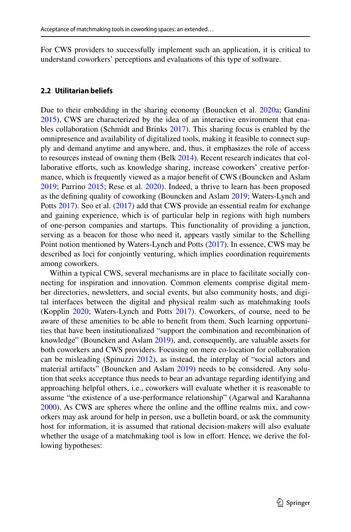For CWS providers to successfully implement such an application, it is critical to understand coworkers' perceptions and evaluations of this type of software.

### **2.2 Utilitarian beliefs**

Due to their embedding in the sharing economy (Bouncken et al. [2020a;](#page-30-1) Gandini [2015](#page-31-4)), CWS are characterized by the idea of an interactive environment that enables collaboration (Schmidt and Brinks [2017\)](#page-32-7). This sharing focus is enabled by the omnipresence and availability of digitalized tools, making it feasible to connect supply and demand anytime and anywhere, and, thus, it emphasizes the role of access to resources instead of owning them (Belk [2014\)](#page-30-10). Recent research indicates that collaborative eforts, such as knowledge sharing, increase coworkers' creative performance, which is frequently viewed as a major beneft of CWS (Bouncken and Aslam [2019](#page-30-2); Parrino [2015](#page-32-8); Rese et al. [2020](#page-32-0)). Indeed, a thrive to learn has been proposed as the defning quality of coworking (Bouncken and Aslam [2019;](#page-30-2) Waters-Lynch and Potts [2017](#page-32-9)). Seo et al. [\(2017](#page-32-1)) add that CWS provide an essential realm for exchange and gaining experience, which is of particular help in regions with high numbers of one-person companies and startups. This functionality of providing a junction, serving as a beacon for those who need it, appears vastly similar to the Schelling Point notion mentioned by Waters-Lynch and Potts ([2017\)](#page-32-9). In essence, CWS may be described as loci for conjointly venturing, which implies coordination requirements among coworkers.

Within a typical CWS, several mechanisms are in place to facilitate socially connecting for inspiration and innovation. Common elements comprise digital member directories, newsletters, and social events, but also community hosts, and digital interfaces between the digital and physical realm such as matchmaking tools (Kopplin [2020;](#page-31-3) Waters-Lynch and Potts [2017\)](#page-32-9). Coworkers, of course, need to be aware of these amenities to be able to beneft from them. Such learning opportunities that have been institutionalized "support the combination and recombination of knowledge" (Bouncken and Aslam [2019\)](#page-30-2), and, consequently, are valuable assets for both coworkers and CWS providers. Focusing on mere co-location for collaboration can be misleading (Spinuzzi [2012](#page-32-2)), as instead, the interplay of "social actors and material artifacts" (Bouncken and Aslam [2019\)](#page-30-2) needs to be considered. Any solution that seeks acceptance thus needs to bear an advantage regarding identifying and approaching helpful others, i.e., coworkers will evaluate whether it is reasonable to assume "the existence of a use-performance relationship" (Agarwal and Karahanna [2000](#page-29-0)). As CWS are spheres where the online and the ofine realms mix, and coworkers may ask around for help in person, use a bulletin board, or ask the community host for information, it is assumed that rational decision-makers will also evaluate whether the usage of a matchmaking tool is low in effort. Hence, we derive the following hypotheses: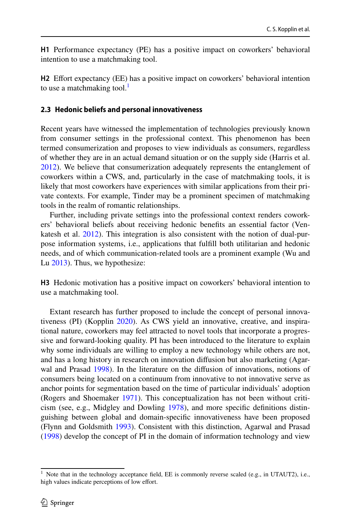**H1** Performance expectancy (PE) has a positive impact on coworkers' behavioral intention to use a matchmaking tool.

**H2** Efort expectancy (EE) has a positive impact on coworkers' behavioral intention to use a matchmaking tool.<sup>[1](#page-5-0)</sup>

#### **2.3 Hedonic beliefs and personal innovativeness**

Recent years have witnessed the implementation of technologies previously known from consumer settings in the professional context. This phenomenon has been termed consumerization and proposes to view individuals as consumers, regardless of whether they are in an actual demand situation or on the supply side (Harris et al. [2012](#page-31-5)). We believe that consumerization adequately represents the entanglement of coworkers within a CWS, and, particularly in the case of matchmaking tools, it is likely that most coworkers have experiences with similar applications from their private contexts. For example, Tinder may be a prominent specimen of matchmaking tools in the realm of romantic relationships.

Further, including private settings into the professional context renders coworkers' behavioral beliefs about receiving hedonic benefts an essential factor (Venkatesh et al. [2012\)](#page-32-10). This integration is also consistent with the notion of dual-purpose information systems, i.e., applications that fulfll both utilitarian and hedonic needs, and of which communication-related tools are a prominent example (Wu and Lu [2013\)](#page-32-11). Thus, we hypothesize:

**H3** Hedonic motivation has a positive impact on coworkers' behavioral intention to use a matchmaking tool.

Extant research has further proposed to include the concept of personal innovativeness (PI) (Kopplin [2020](#page-31-3)). As CWS yield an innovative, creative, and inspirational nature, coworkers may feel attracted to novel tools that incorporate a progressive and forward-looking quality. PI has been introduced to the literature to explain why some individuals are willing to employ a new technology while others are not, and has a long history in research on innovation difusion but also marketing (Agarwal and Prasad [1998](#page-29-1)). In the literature on the difusion of innovations, notions of consumers being located on a continuum from innovative to not innovative serve as anchor points for segmentation based on the time of particular individuals' adoption (Rogers and Shoemaker [1971\)](#page-32-12). This conceptualization has not been without criticism (see, e.g., Midgley and Dowling [1978](#page-32-13)), and more specifc defnitions distinguishing between global and domain-specifc innovativeness have been proposed (Flynn and Goldsmith [1993](#page-31-6)). Consistent with this distinction, Agarwal and Prasad [\(1998](#page-29-1)) develop the concept of PI in the domain of information technology and view

<span id="page-5-0"></span><sup>&</sup>lt;sup>1</sup> Note that in the technology acceptance field, EE is commonly reverse scaled (e.g., in UTAUT2), i.e., high values indicate perceptions of low effort.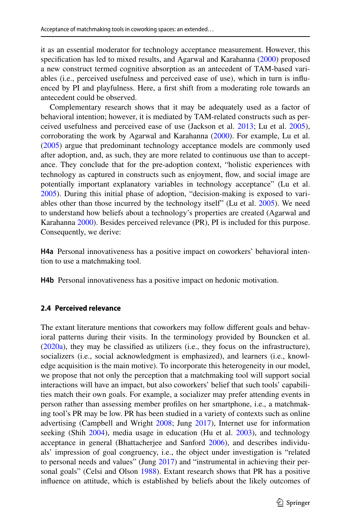it as an essential moderator for technology acceptance measurement. However, this specifcation has led to mixed results, and Agarwal and Karahanna ([2000\)](#page-29-0) proposed a new construct termed cognitive absorption as an antecedent of TAM-based variables (i.e., perceived usefulness and perceived ease of use), which in turn is infuenced by PI and playfulness. Here, a frst shift from a moderating role towards an antecedent could be observed.

Complementary research shows that it may be adequately used as a factor of behavioral intention; however, it is mediated by TAM-related constructs such as perceived usefulness and perceived ease of use (Jackson et al. [2013;](#page-31-7) Lu et al. [2005\)](#page-31-8), corroborating the work by Agarwal and Karahanna [\(2000](#page-29-0)). For example, Lu et al. [\(2005](#page-31-8)) argue that predominant technology acceptance models are commonly used after adoption, and, as such, they are more related to continuous use than to acceptance. They conclude that for the pre-adoption context, "holistic experiences with technology as captured in constructs such as enjoyment, fow, and social image are potentially important explanatory variables in technology acceptance" (Lu et al. [2005](#page-31-8)). During this initial phase of adoption, "decision-making is exposed to variables other than those incurred by the technology itself" (Lu et al. [2005](#page-31-8)). We need to understand how beliefs about a technology's properties are created (Agarwal and Karahanna [2000\)](#page-29-0). Besides perceived relevance (PR), PI is included for this purpose. Consequently, we derive:

**H4a** Personal innovativeness has a positive impact on coworkers' behavioral intention to use a matchmaking tool.

**H4b** Personal innovativeness has a positive impact on hedonic motivation.

#### **2.4 Perceived relevance**

The extant literature mentions that coworkers may follow diferent goals and behavioral patterns during their visits. In the terminology provided by Bouncken et al. [\(2020a\)](#page-30-1), they may be classifed as utilizers (i.e., they focus on the infrastructure), socializers (i.e., social acknowledgment is emphasized), and learners (i.e., knowledge acquisition is the main motive). To incorporate this heterogeneity in our model, we propose that not only the perception that a matchmaking tool will support social interactions will have an impact, but also coworkers' belief that such tools' capabilities match their own goals. For example, a socializer may prefer attending events in person rather than assessing member profles on her smartphone, i.e., a matchmaking tool's PR may be low. PR has been studied in a variety of contexts such as online advertising (Campbell and Wright [2008](#page-30-11); Jung [2017](#page-31-9)), Internet use for information seeking (Shih [2004](#page-32-14)), media usage in education (Hu et al. [2003\)](#page-31-10), and technology acceptance in general (Bhattacherjee and Sanford [2006](#page-30-12)), and describes individuals' impression of goal congruency, i.e., the object under investigation is "related to personal needs and values" (Jung [2017\)](#page-31-9) and "instrumental in achieving their per-sonal goals" (Celsi and Olson [1988](#page-30-13)). Extant research shows that PR has a positive infuence on attitude, which is established by beliefs about the likely outcomes of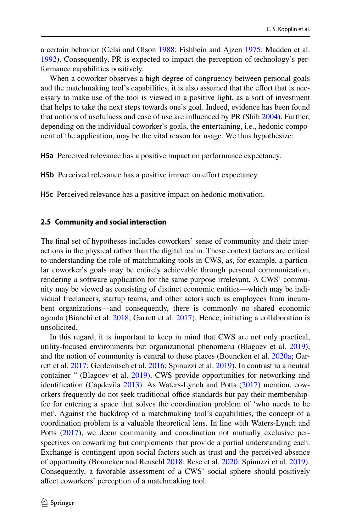a certain behavior (Celsi and Olson [1988;](#page-30-13) Fishbein and Ajzen [1975;](#page-31-11) Madden et al. [1992](#page-31-12)). Consequently, PR is expected to impact the perception of technology's performance capabilities positively.

When a coworker observes a high degree of congruency between personal goals and the matchmaking tool's capabilities, it is also assumed that the effort that is necessary to make use of the tool is viewed in a positive light, as a sort of investment that helps to take the next steps towards one's goal. Indeed, evidence has been found that notions of usefulness and ease of use are infuenced by PR (Shih [2004](#page-32-14)). Further, depending on the individual coworker's goals, the entertaining, i.e., hedonic component of the application, may be the vital reason for usage. We thus hypothesize:

**H5a** Perceived relevance has a positive impact on performance expectancy.

**H5b** Perceived relevance has a positive impact on effort expectancy.

**H5c** Perceived relevance has a positive impact on hedonic motivation.

#### **2.5 Community and social interaction**

The fnal set of hypotheses includes coworkers' sense of community and their interactions in the physical rather than the digital realm. These context factors are critical to understanding the role of matchmaking tools in CWS, as, for example, a particular coworker's goals may be entirely achievable through personal communication, rendering a software application for the same purpose irrelevant. A CWS' community may be viewed as consisting of distinct economic entities—which may be individual freelancers, startup teams, and other actors such as employees from incumbent organizations—and consequently, there is commonly no shared economic agenda (Bianchi et al. [2018](#page-30-8); Garrett et al. [2017\)](#page-31-0). Hence, initiating a collaboration is unsolicited.

In this regard, it is important to keep in mind that CWS are not only practical, utility-focused environments but organizational phenomena (Blagoev et al. [2019\)](#page-30-3), and the notion of community is central to these places (Bouncken et al. [2020a;](#page-30-1) Garrett et al. [2017](#page-31-0); Gerdenitsch et al. [2016](#page-31-1); Spinuzzi et al. [2019](#page-32-3)). In contrast to a neutral container " (Blagoev et al. [2019\)](#page-30-3), CWS provide opportunities for networking and identifcation (Capdevila [2013\)](#page-30-14). As Waters-Lynch and Potts [\(2017](#page-32-9)) mention, coworkers frequently do not seek traditional office standards but pay their membershipfee for entering a space that solves the coordination problem of 'who needs to be met'. Against the backdrop of a matchmaking tool's capabilities, the concept of a coordination problem is a valuable theoretical lens. In line with Waters-Lynch and Potts ([2017\)](#page-32-9), we deem community and coordination not mutually exclusive perspectives on coworking but complements that provide a partial understanding each. Exchange is contingent upon social factors such as trust and the perceived absence of opportunity (Bouncken and Reuschl [2018;](#page-30-0) Rese et al. [2020;](#page-32-0) Spinuzzi et al. [2019\)](#page-32-3). Consequently, a favorable assessment of a CWS' social sphere should positively afect coworkers' perception of a matchmaking tool.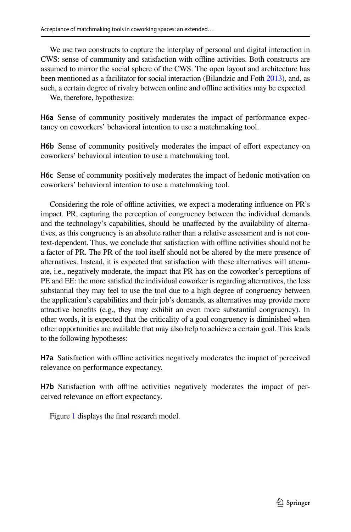We use two constructs to capture the interplay of personal and digital interaction in CWS: sense of community and satisfaction with ofine activities. Both constructs are assumed to mirror the social sphere of the CWS. The open layout and architecture has been mentioned as a facilitator for social interaction (Bilandzic and Foth [2013](#page-30-15)), and, as such, a certain degree of rivalry between online and offline activities may be expected.

We, therefore, hypothesize:

**H6a** Sense of community positively moderates the impact of performance expectancy on coworkers' behavioral intention to use a matchmaking tool.

H6b Sense of community positively moderates the impact of effort expectancy on coworkers' behavioral intention to use a matchmaking tool.

**H6c** Sense of community positively moderates the impact of hedonic motivation on coworkers' behavioral intention to use a matchmaking tool.

Considering the role of ofine activities, we expect a moderating infuence on PR's impact. PR, capturing the perception of congruency between the individual demands and the technology's capabilities, should be unafected by the availability of alternatives, as this congruency is an absolute rather than a relative assessment and is not context-dependent. Thus, we conclude that satisfaction with ofine activities should not be a factor of PR. The PR of the tool itself should not be altered by the mere presence of alternatives. Instead, it is expected that satisfaction with these alternatives will attenuate, i.e., negatively moderate, the impact that PR has on the coworker's perceptions of PE and EE: the more satisfed the individual coworker is regarding alternatives, the less substantial they may feel to use the tool due to a high degree of congruency between the application's capabilities and their job's demands, as alternatives may provide more attractive benefts (e.g., they may exhibit an even more substantial congruency). In other words, it is expected that the criticality of a goal congruency is diminished when other opportunities are available that may also help to achieve a certain goal. This leads to the following hypotheses:

**H7a** Satisfaction with ofine activities negatively moderates the impact of perceived relevance on performance expectancy.

**H7b** Satisfaction with ofine activities negatively moderates the impact of perceived relevance on effort expectancy.

Figure [1](#page-9-1) displays the fnal research model.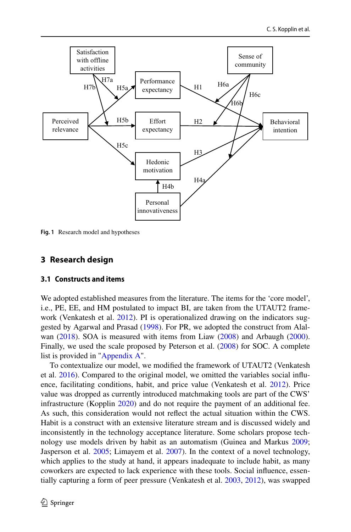

<span id="page-9-1"></span>**Fig. 1** Research model and hypotheses

## <span id="page-9-0"></span>**3 Research design**

#### **3.1 Constructs and items**

We adopted established measures from the literature. The items for the 'core model', i.e., PE, EE, and HM postulated to impact BI, are taken from the UTAUT2 frame-work (Venkatesh et al. [2012\)](#page-32-10). PI is operationalized drawing on the indicators suggested by Agarwal and Prasad ([1998\)](#page-29-1). For PR, we adopted the construct from Alalwan [\(2018](#page-30-16)). SOA is measured with items from Liaw ([2008\)](#page-31-13) and Arbaugh ([2000\)](#page-30-17). Finally, we used the scale proposed by Peterson et al. [\(2008](#page-32-15)) for SOC. A complete list is provided in "[Appendix A](#page-23-0)".

To contextualize our model, we modifed the framework of UTAUT2 (Venkatesh et al. [2016\)](#page-32-16). Compared to the original model, we omitted the variables social infuence, facilitating conditions, habit, and price value (Venkatesh et al. [2012\)](#page-32-10). Price value was dropped as currently introduced matchmaking tools are part of the CWS' infrastructure (Kopplin [2020\)](#page-31-3) and do not require the payment of an additional fee. As such, this consideration would not refect the actual situation within the CWS. Habit is a construct with an extensive literature stream and is discussed widely and inconsistently in the technology acceptance literature. Some scholars propose technology use models driven by habit as an automatism (Guinea and Markus [2009;](#page-30-18) Jasperson et al. [2005;](#page-31-14) Limayem et al. [2007\)](#page-31-15). In the context of a novel technology, which applies to the study at hand, it appears inadequate to include habit, as many coworkers are expected to lack experience with these tools. Social infuence, essentially capturing a form of peer pressure (Venkatesh et al. [2003,](#page-32-17) [2012\)](#page-32-10), was swapped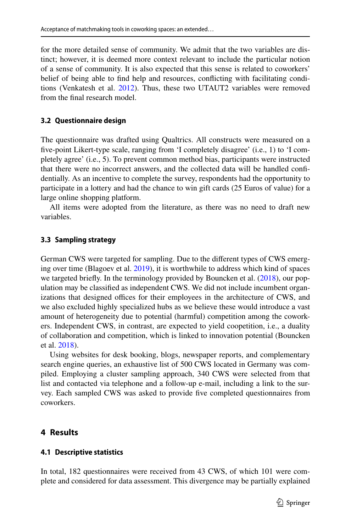for the more detailed sense of community. We admit that the two variables are distinct; however, it is deemed more context relevant to include the particular notion of a sense of community. It is also expected that this sense is related to coworkers' belief of being able to fnd help and resources, conficting with facilitating conditions (Venkatesh et al. [2012](#page-32-10)). Thus, these two UTAUT2 variables were removed from the fnal research model.

### **3.2 Questionnaire design**

The questionnaire was drafted using Qualtrics. All constructs were measured on a fve-point Likert-type scale, ranging from 'I completely disagree' (i.e., 1) to 'I completely agree' (i.e., 5). To prevent common method bias, participants were instructed that there were no incorrect answers, and the collected data will be handled confdentially. As an incentive to complete the survey, respondents had the opportunity to participate in a lottery and had the chance to win gift cards (25 Euros of value) for a large online shopping platform.

All items were adopted from the literature, as there was no need to draft new variables.

### **3.3 Sampling strategy**

German CWS were targeted for sampling. Due to the diferent types of CWS emerging over time (Blagoev et al. [2019\)](#page-30-3), it is worthwhile to address which kind of spaces we targeted briefly. In the terminology provided by Bouncken et al. ([2018\)](#page-30-19), our population may be classifed as independent CWS. We did not include incumbent organizations that designed offices for their employees in the architecture of CWS, and we also excluded highly specialized hubs as we believe these would introduce a vast amount of heterogeneity due to potential (harmful) competition among the coworkers. Independent CWS, in contrast, are expected to yield coopetition, i.e., a duality of collaboration and competition, which is linked to innovation potential (Bouncken et al. [2018\)](#page-30-19).

Using websites for desk booking, blogs, newspaper reports, and complementary search engine queries, an exhaustive list of 500 CWS located in Germany was compiled. Employing a cluster sampling approach, 340 CWS were selected from that list and contacted via telephone and a follow-up e-mail, including a link to the survey. Each sampled CWS was asked to provide fve completed questionnaires from coworkers.

# <span id="page-10-0"></span>**4 Results**

### **4.1 Descriptive statistics**

In total, 182 questionnaires were received from 43 CWS, of which 101 were complete and considered for data assessment. This divergence may be partially explained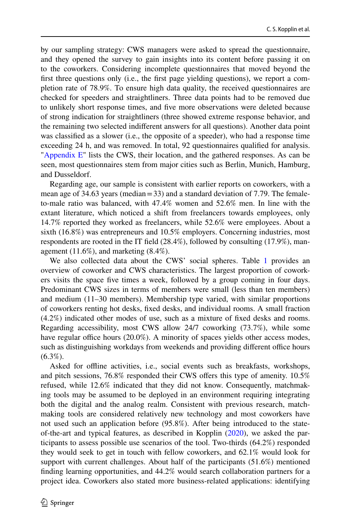by our sampling strategy: CWS managers were asked to spread the questionnaire, and they opened the survey to gain insights into its content before passing it on to the coworkers. Considering incomplete questionnaires that moved beyond the frst three questions only (i.e., the frst page yielding questions), we report a completion rate of 78.9%. To ensure high data quality, the received questionnaires are checked for speeders and straightliners. Three data points had to be removed due to unlikely short response times, and fve more observations were deleted because of strong indication for straightliners (three showed extreme response behavior, and the remaining two selected indiferent answers for all questions). Another data point was classifed as a slower (i.e., the opposite of a speeder), who had a response time exceeding 24 h, and was removed. In total, 92 questionnaires qualifed for analysis. ["Appendix E"](#page-28-0) lists the CWS, their location, and the gathered responses. As can be seen, most questionnaires stem from major cities such as Berlin, Munich, Hamburg, and Dusseldorf.

Regarding age, our sample is consistent with earlier reports on coworkers, with a mean age of 34.63 years (median  $=$  33) and a standard deviation of 7.79. The femaleto-male ratio was balanced, with 47.4% women and 52.6% men. In line with the extant literature, which noticed a shift from freelancers towards employees, only 14.7% reported they worked as freelancers, while 52.6% were employees. About a sixth (16.8%) was entrepreneurs and 10.5% employers. Concerning industries, most respondents are rooted in the IT feld (28.4%), followed by consulting (17.9%), management (11.6%), and marketing (8.4%).

We also collected data about the CWS' social spheres. Table [1](#page-12-0) provides an overview of coworker and CWS characteristics. The largest proportion of coworkers visits the space fve times a week, followed by a group coming in four days. Predominant CWS sizes in terms of members were small (less than ten members) and medium (11–30 members). Membership type varied, with similar proportions of coworkers renting hot desks, fxed desks, and individual rooms. A small fraction (4.2%) indicated other modes of use, such as a mixture of fxed desks and rooms. Regarding accessibility, most CWS allow 24/7 coworking (73.7%), while some have regular office hours (20.0%). A minority of spaces yields other access modes, such as distinguishing workdays from weekends and providing different office hours  $(6.3\%).$ 

Asked for ofine activities, i.e., social events such as breakfasts, workshops, and pitch sessions, 76.8% responded their CWS ofers this type of amenity. 10.5% refused, while 12.6% indicated that they did not know. Consequently, matchmaking tools may be assumed to be deployed in an environment requiring integrating both the digital and the analog realm. Consistent with previous research, matchmaking tools are considered relatively new technology and most coworkers have not used such an application before (95.8%). After being introduced to the stateof-the-art and typical features, as described in Kopplin [\(2020](#page-31-3)), we asked the participants to assess possible use scenarios of the tool. Two-thirds (64.2%) responded they would seek to get in touch with fellow coworkers, and 62.1% would look for support with current challenges. About half of the participants (51.6%) mentioned fnding learning opportunities, and 44.2% would search collaboration partners for a project idea. Coworkers also stated more business-related applications: identifying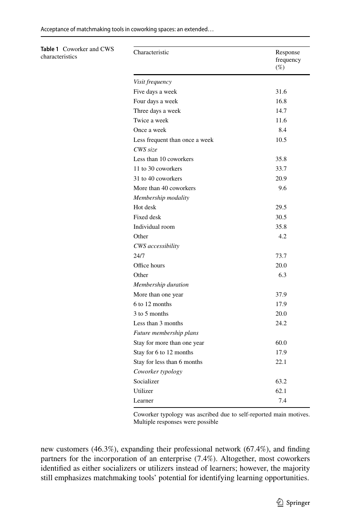Acceptance of matchmaking tools in coworking spaces: an extended…

<span id="page-12-0"></span>**Table 1** Coworker and CWS

characteristics

| Characteristic                 | Response<br>frequency<br>$(\%)$ |
|--------------------------------|---------------------------------|
| Visit frequency                |                                 |
| Five days a week               | 31.6                            |
| Four days a week               | 16.8                            |
| Three days a week              | 14.7                            |
| Twice a week                   | 11.6                            |
| Once a week                    | 8.4                             |
| Less frequent than once a week | 10.5                            |
| CWS size                       |                                 |
| Less than 10 coworkers         | 35.8                            |
| 11 to 30 coworkers             | 33.7                            |
| 31 to 40 coworkers             | 20.9                            |
| More than 40 coworkers         | 9.6                             |
| Membership modality            |                                 |
| Hot desk                       | 29.5                            |
| <b>Fixed</b> desk              | 30.5                            |
| Individual room                | 35.8                            |
| Other                          | 4.2                             |
| CWS accessibility              |                                 |
| 24/7                           | 73.7                            |
| Office hours                   | 20.0                            |
| Other                          | 6.3                             |
| Membership duration            |                                 |
| More than one year             | 37.9                            |
| 6 to 12 months                 | 17.9                            |
| 3 to 5 months                  | 20.0                            |
| Less than 3 months             | 24.2                            |
| Future membership plans        |                                 |
| Stay for more than one year    | 60.0                            |
| Stay for 6 to 12 months        | 17.9                            |
| Stay for less than 6 months    | 22.1                            |
| Coworker typology              |                                 |
| Socializer                     | 63.2                            |
| Utilizer                       | 62.1                            |
| Learner                        | 7.4                             |

Coworker typology was ascribed due to self-reported main motives. Multiple responses were possible

new customers (46.3%), expanding their professional network (67.4%), and fnding partners for the incorporation of an enterprise (7.4%). Altogether, most coworkers identifed as either socializers or utilizers instead of learners; however, the majority still emphasizes matchmaking tools' potential for identifying learning opportunities.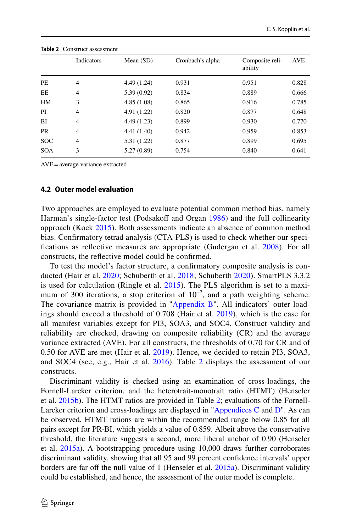|            | Indicators     | Mean $(SD)$ | Cronbach's alpha | Composite reli-<br>ability | <b>AVE</b> |
|------------|----------------|-------------|------------------|----------------------------|------------|
| PE         | $\overline{4}$ | 4.49 (1.24) | 0.931            | 0.951                      | 0.828      |
| EE         | 4              | 5.39(0.92)  | 0.834            | 0.889                      | 0.666      |
| HM         | 3              | 4.85(1.08)  | 0.865            | 0.916                      | 0.785      |
| PI         | 4              | 4.91(1.22)  | 0.820            | 0.877                      | 0.648      |
| BI         | 4              | 4.49(1.23)  | 0.899            | 0.930                      | 0.770      |
| <b>PR</b>  | 4              | 4.41(1.40)  | 0.942            | 0.959                      | 0.853      |
| <b>SOC</b> | $\overline{4}$ | 5.31(1.22)  | 0.877            | 0.899                      | 0.695      |
| <b>SOA</b> | 3              | 5.27(0.89)  | 0.754            | 0.840                      | 0.641      |

<span id="page-13-0"></span>**Table 2** Construct assessment

AVE=average variance extracted

#### **4.2 Outer model evaluation**

Two approaches are employed to evaluate potential common method bias, namely Harman's single-factor test (Podsakoff and Organ [1986](#page-32-18)) and the full collinearity approach (Kock [2015\)](#page-31-16). Both assessments indicate an absence of common method bias. Confrmatory tetrad analysis (CTA-PLS) is used to check whether our specifcations as refective measures are appropriate (Gudergan et al. [2008\)](#page-31-17). For all constructs, the refective model could be confrmed.

To test the model's factor structure, a confrmatory composite analysis is conducted (Hair et al. [2020](#page-31-18); Schuberth et al. [2018;](#page-32-19) Schuberth [2020\)](#page-32-20). SmartPLS 3.3.2 is used for calculation (Ringle et al. [2015\)](#page-32-21). The PLS algorithm is set to a maximum of 300 iterations, a stop criterion of  $10^{-7}$ , and a path weighting scheme. The covariance matrix is provided in ["Appendix B](#page-23-1)". All indicators' outer loadings should exceed a threshold of 0.708 (Hair et al. [2019\)](#page-31-19), which is the case for all manifest variables except for PI3, SOA3, and SOC4. Construct validity and reliability are checked, drawing on composite reliability (CR) and the average variance extracted (AVE). For all constructs, the thresholds of 0.70 for CR and of 0.50 for AVE are met (Hair et al. [2019](#page-31-19)). Hence, we decided to retain PI3, SOA3, and SOC4 (see, e.g., Hair et al.  $2016$  $2016$ ). Table 2 displays the assessment of our constructs.

Discriminant validity is checked using an examination of cross-loadings, the Fornell-Larcker criterion, and the heterotrait-monotrait ratio (HTMT) (Henseler et al. [2015b\)](#page-31-21). The HTMT ratios are provided in Table [2;](#page-13-0) evaluations of the Fornell-Larcker criterion and cross-loadings are displayed in ["Appendices C](#page-27-0) and  $D$ ". As can be observed, HTMT rations are within the recommended range below 0.85 for all pairs except for PR-BI, which yields a value of 0.859. Albeit above the conservative threshold, the literature suggests a second, more liberal anchor of 0.90 (Henseler et al.  $2015a$ ). A bootstrapping procedure using  $10,000$  draws further corroborates discriminant validity, showing that all 95 and 99 percent confdence intervals' upper borders are far off the null value of 1 (Henseler et al.  $2015a$ ). Discriminant validity could be established, and hence, the assessment of the outer model is complete.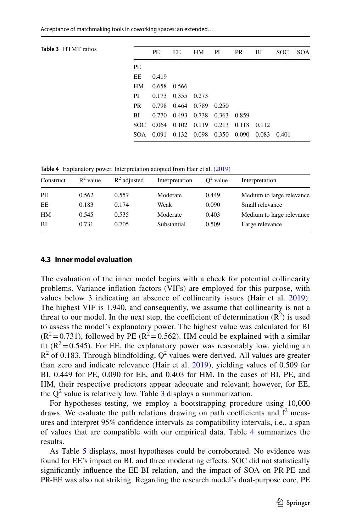<span id="page-14-0"></span>

| <b>Table 3 HTMT</b> ratios |           | <b>PE</b>   | EE                      | HM | PI                                      | PR | BI | SOC SOA |  |
|----------------------------|-----------|-------------|-------------------------|----|-----------------------------------------|----|----|---------|--|
|                            | <b>PE</b> |             |                         |    |                                         |    |    |         |  |
|                            | EE        | 0.419       |                         |    |                                         |    |    |         |  |
|                            | <b>HM</b> | 0.658 0.566 |                         |    |                                         |    |    |         |  |
|                            | PI        |             | $0.173$ $0.355$ $0.273$ |    |                                         |    |    |         |  |
|                            | PR.       |             | 0.798 0.464 0.789       |    | 0.250                                   |    |    |         |  |
|                            | BL        |             |                         |    | 0.770 0.493 0.738 0.363 0.859           |    |    |         |  |
|                            |           |             |                         |    | SOC 0.064 0.102 0.119 0.213 0.118 0.112 |    |    |         |  |
|                            |           | SOA 0.091   | 0.132 0.098             |    | 0.350 0.090 0.083                       |    |    | 0.401   |  |
|                            |           |             |                         |    |                                         |    |    |         |  |

<span id="page-14-1"></span>**Table 4** Explanatory power. Interpretation adopted from Hair et al. [\(2019](#page-31-19))

| Construct | $R^2$ value | $R^2$ adjusted | Interpretation | $Q^2$ value | Interpretation            |
|-----------|-------------|----------------|----------------|-------------|---------------------------|
| PE        | 0.562       | 0.557          | Moderate       | 0.449       | Medium to large relevance |
| EE        | 0.183       | 0.174          | Weak           | 0.090       | Small relevance           |
| HM        | 0.545       | 0.535          | Moderate       | 0.403       | Medium to large relevance |
| <b>BI</b> | 0.731       | 0.705          | Substantial    | 0.509       | Large relevance           |
|           |             |                |                |             |                           |

#### **4.3 Inner model evaluation**

The evaluation of the inner model begins with a check for potential collinearity problems. Variance infation factors (VIFs) are employed for this purpose, with values below 3 indicating an absence of collinearity issues (Hair et al. [2019](#page-31-19)). The highest VIF is 1.940, and consequently, we assume that collinearity is not a threat to our model. In the next step, the coefficient of determination  $(R^2)$  is used to assess the model's explanatory power. The highest value was calculated for BI  $(R^2=0.731)$ , followed by PE ( $R^2=0.562$ ). HM could be explained with a similar fit ( $R^2$ =0.545). For EE, the explanatory power was reasonably low, yielding an  $R^2$  of 0.183. Through blindfolding,  $Q^2$  values were derived. All values are greater than zero and indicate relevance (Hair et al. [2019](#page-31-19)), yielding values of 0.509 for BI, 0.449 for PE, 0.090 for EE, and 0.403 for HM. In the cases of BI, PE, and HM, their respective predictors appear adequate and relevant; however, for EE, the  $Q^2$  value is relatively low. Table [3](#page-14-0) displays a summarization.

For hypotheses testing, we employ a bootstrapping procedure using 10,000 draws. We evaluate the path relations drawing on path coefficients and  $f^2$  measures and interpret 95% confdence intervals as compatibility intervals, i.e., a span of values that are compatible with our empirical data. Table [4](#page-14-1) summarizes the results.

As Table [5](#page-16-0) displays, most hypotheses could be corroborated. No evidence was found for EE's impact on BI, and three moderating efects: SOC did not statistically signifcantly infuence the EE-BI relation, and the impact of SOA on PR-PE and PR-EE was also not striking. Regarding the research model's dual-purpose core, PE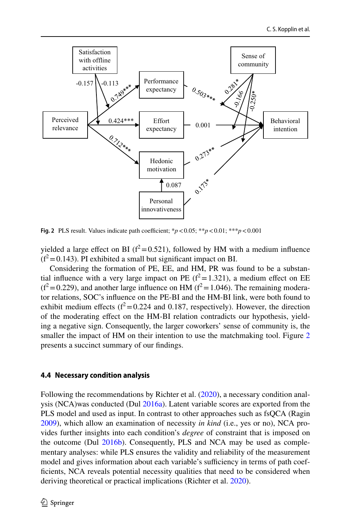

<span id="page-15-0"></span>**Fig. 2** PLS result. Values indicate path coefficient;  $* p < 0.05$ ;  $* * p < 0.01$ ;  $* * * p < 0.001$ 

yielded a large effect on BI ( $f^2$ =0.521), followed by HM with a medium influence  $(f^2=0.143)$ . PI exhibited a small but significant impact on BI.

Considering the formation of PE, EE, and HM, PR was found to be a substantial influence with a very large impact on PE ( $f^2 = 1.321$ ), a medium effect on EE  $(f^2 = 0.229)$ , and another large influence on HM ( $f^2 = 1.046$ ). The remaining moderator relations, SOC's infuence on the PE-BI and the HM-BI link, were both found to exhibit medium effects ( $f^2 = 0.224$  and 0.187, respectively). However, the direction of the moderating efect on the HM-BI relation contradicts our hypothesis, yielding a negative sign. Consequently, the larger coworkers' sense of community is, the smaller the impact of HM on their intention to use the matchmaking tool. Figure [2](#page-15-0) presents a succinct summary of our fndings.

#### **4.4 Necessary condition analysis**

Following the recommendations by Richter et al. ([2020\)](#page-32-22), a necessary condition anal-ysis (NCA)was conducted (Dul [2016a](#page-30-7)). Latent variable scores are exported from the PLS model and used as input. In contrast to other approaches such as fsQCA (Ragin [2009](#page-32-23)), which allow an examination of necessity *in kind* (i.e., yes or no), NCA provides further insights into each condition's *degree* of constraint that is imposed on the outcome (Dul [2016b\)](#page-30-20). Consequently, PLS and NCA may be used as complementary analyses: while PLS ensures the validity and reliability of the measurement model and gives information about each variable's sufficiency in terms of path coeffcients, NCA reveals potential necessity qualities that need to be considered when deriving theoretical or practical implications (Richter et al. [2020](#page-32-22)).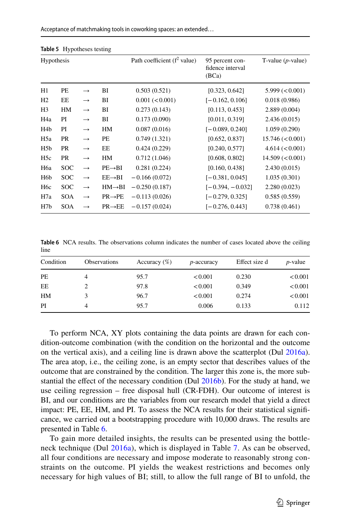| Acceptance of matchmaking tools in coworking spaces: an extended |  |  |  |  |
|------------------------------------------------------------------|--|--|--|--|
|------------------------------------------------------------------|--|--|--|--|

|                  | <b>Replace 3</b> Trybourcsus results |                   |                     |                                        |                                              |                                 |
|------------------|--------------------------------------|-------------------|---------------------|----------------------------------------|----------------------------------------------|---------------------------------|
| Hypothesis       |                                      |                   |                     | Path coefficient $(f^2 \text{ value})$ | 95 percent con-<br>fidence interval<br>(BCa) | T-value $(p$ -value)            |
| H1               | PE                                   | $\longrightarrow$ | BI                  | 0.503(0.521)                           | [0.323, 0.642]                               | $5.999 \left( < 0.001 \right)$  |
| H <sub>2</sub>   | EE                                   | $\longrightarrow$ | BI                  | 0.001 (< 0.001)                        | $[-0.162, 0.106]$                            | 0.018(0.986)                    |
| H <sub>3</sub>   | HM                                   | $\longrightarrow$ | BI                  | 0.273(0.143)                           | [0.113, 0.453]                               | 2.889(0.004)                    |
| H4a              | PI                                   | $\longrightarrow$ | BI                  | 0.173(0.090)                           | [0.011, 0.319]                               | 2.436(0.015)                    |
| H <sub>4</sub> b | PI                                   | $\longrightarrow$ | HM                  | 0.087(0.016)                           | $[-0.089, 0.240]$                            | 1.059(0.290)                    |
| H <sub>5</sub> a | <b>PR</b>                            | $\longrightarrow$ | PE                  | 0.749(1.321)                           | [0.652, 0.837]                               | $15.746 \approx 0.001$          |
| H <sub>5</sub> b | <b>PR</b>                            | $\longrightarrow$ | EE                  | 0.424(0.229)                           | [0.240, 0.577]                               | 4.614 (< 0.001)                 |
| H <sub>5c</sub>  | PR                                   | $\longrightarrow$ | HM                  | 0.712(1.046)                           | [0.608, 0.802]                               | $14.509 \left( < 0.001 \right)$ |
| H <sub>6</sub> a | <b>SOC</b>                           | $\longrightarrow$ | $PE \rightarrow BI$ | 0.281(0.224)                           | [0.160, 0.438]                               | 2.430(0.015)                    |
| H6b              | <b>SOC</b>                           | $\longrightarrow$ | $EE \rightarrow BI$ | $-0.166(0.072)$                        | $[-0.381, 0.045]$                            | 1.035(0.301)                    |
| H <sub>6</sub> c | <b>SOC</b>                           | $\longrightarrow$ | $HM \rightarrow BI$ | $-0.250(0.187)$                        | $[-0.394, -0.032]$                           | 2.280(0.023)                    |
| H7a              | <b>SOA</b>                           | $\longrightarrow$ | $PR \rightarrow PE$ | $-0.113(0.026)$                        | $[-0.279, 0.325]$                            | 0.585(0.559)                    |
| H7b              | <b>SOA</b>                           | $\rightarrow$     | $PR \rightarrow EE$ | $-0.157(0.024)$                        | $[-0.276, 0.443]$                            | 0.738(0.461)                    |

<span id="page-16-0"></span>**Table 5** Hypotheses testing

<span id="page-16-1"></span>**Table 6** NCA results. The observations column indicates the number of cases located above the ceiling line

| Condition | Observations | Accuracy $(\%)$ | p-accuracy | Effect size d | $p$ -value |
|-----------|--------------|-----------------|------------|---------------|------------|
| PE        | 4            | 95.7            | < 0.001    | 0.230         | < 0.001    |
| EE        |              | 97.8            | < 0.001    | 0.349         | < 0.001    |
| HM        |              | 96.7            | < 0.001    | 0.274         | < 0.001    |
| PI        | 4            | 95.7            | 0.006      | 0.133         | 0.112      |

To perform NCA, XY plots containing the data points are drawn for each condition-outcome combination (with the condition on the horizontal and the outcome on the vertical axis), and a ceiling line is drawn above the scatterplot (Dul [2016a\)](#page-30-7). The area atop, i.e., the ceiling zone, is an empty sector that describes values of the outcome that are constrained by the condition. The larger this zone is, the more substantial the effect of the necessary condition (Dul  $2016b$ ). For the study at hand, we use ceiling regression – free disposal hull (CR-FDH). Our outcome of interest is BI, and our conditions are the variables from our research model that yield a direct impact: PE, EE, HM, and PI. To assess the NCA results for their statistical signifcance, we carried out a bootstrapping procedure with 10,000 draws. The results are presented in Table [6.](#page-16-1)

To gain more detailed insights, the results can be presented using the bottleneck technique (Dul [2016a](#page-30-7)), which is displayed in Table [7.](#page-17-0) As can be observed, all four conditions are necessary and impose moderate to reasonably strong constraints on the outcome. PI yields the weakest restrictions and becomes only necessary for high values of BI; still, to allow the full range of BI to unfold, the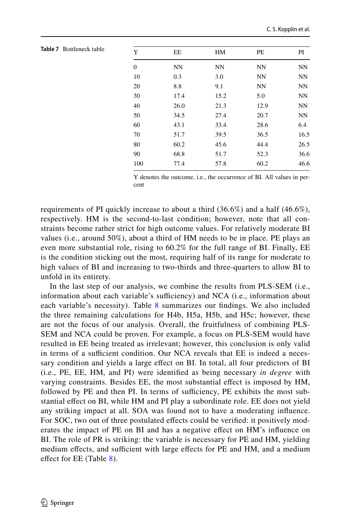| Y              | EE        | HM        | PE        | PI        |
|----------------|-----------|-----------|-----------|-----------|
| $\overline{0}$ | <b>NN</b> | <b>NN</b> | <b>NN</b> | <b>NN</b> |
| 10             | 0.3       | 3.0       | NN        | <b>NN</b> |
| 20             | 8.8       | 9.1       | NN        | <b>NN</b> |
| 30             | 17.4      | 15.2      | 5.0       | NN        |
| 40             | 26.0      | 21.3      | 12.9      | <b>NN</b> |
| 50             | 34.5      | 27.4      | 20.7      | NN        |
| 60             | 43.1      | 33.4      | 28.6      | 6.4       |
| 70             | 51.7      | 39.5      | 36.5      | 16.5      |
| 80             | 60.2      | 45.6      | 44.4      | 26.5      |
| 90             | 68.8      | 51.7      | 52.3      | 36.6      |
| 100            | 77.4      | 57.8      | 60.2      | 46.6      |
|                |           |           |           |           |

<span id="page-17-0"></span>**Table 7** Bottleneck table

Y denotes the outcome, i.e., the occurrence of BI. All values in percent

requirements of PI quickly increase to about a third  $(36.6\%)$  and a half  $(46.6\%)$ , respectively. HM is the second-to-last condition; however, note that all constraints become rather strict for high outcome values. For relatively moderate BI values (i.e., around 50%), about a third of HM needs to be in place. PE plays an even more substantial role, rising to 60.2% for the full range of BI. Finally, EE is the condition sticking out the most, requiring half of its range for moderate to high values of BI and increasing to two-thirds and three-quarters to allow BI to unfold in its entirety.

In the last step of our analysis, we combine the results from PLS-SEM (i.e., information about each variable's sufficiency) and NCA (i.e., information about each variable's necessity). Table [8](#page-18-1) summarizes our findings. We also included the three remaining calculations for H4b, H5a, H5b, and H5c; however, these are not the focus of our analysis. Overall, the fruitfulness of combining PLS-SEM and NCA could be proven. For example, a focus on PLS-SEM would have resulted in EE being treated as irrelevant; however, this conclusion is only valid in terms of a sufficient condition. Our NCA reveals that EE is indeed a necessary condition and yields a large efect on BI. In total, all four predictors of BI (i.e., PE, EE, HM, and PI) were identifed as being necessary *in degree* with varying constraints. Besides EE, the most substantial efect is imposed by HM, followed by PE and then PI. In terms of sufficiency, PE exhibits the most substantial efect on BI, while HM and PI play a subordinate role. EE does not yield any striking impact at all. SOA was found not to have a moderating infuence. For SOC, two out of three postulated efects could be verifed: it positively moderates the impact of PE on BI and has a negative efect on HM's infuence on BI. The role of PR is striking: the variable is necessary for PE and HM, yielding medium effects, and sufficient with large effects for PE and HM, and a medium effect for EE (Table [8\)](#page-18-1).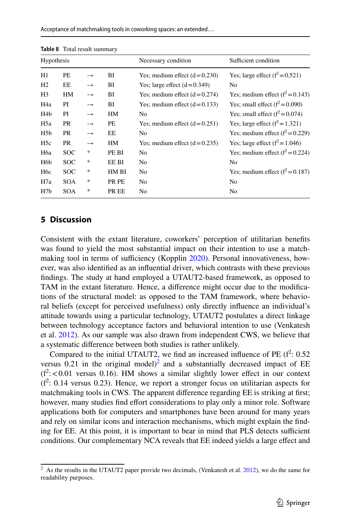|                   | $\frac{1}{2}$ |               |       |                                |                                    |
|-------------------|---------------|---------------|-------|--------------------------------|------------------------------------|
| <b>Hypothesis</b> |               |               |       | Necessary condition            | Sufficient condition               |
| H1                | PE            | $\rightarrow$ | ВI    | Yes; medium effect $(d=0.230)$ | Yes; large effect $(f^2 = 0.521)$  |
| H2                | EE            | $\rightarrow$ | BI    | Yes; large effect $(d=0.349)$  | No                                 |
| H <sub>3</sub>    | HМ            | $\rightarrow$ | ВI    | Yes; medium effect $(d=0.274)$ | Yes; medium effect $(f^2 = 0.143)$ |
| H <sub>4</sub> a  | PI            | $\rightarrow$ | ВI    | Yes; medium effect $(d=0.133)$ | Yes; small effect $(f^2 = 0.090)$  |
| H <sub>4</sub> b  | PI            | $\rightarrow$ | HМ    | No                             | Yes; small effect $(f^2 = 0.074)$  |
| H5a               | PR            | $\rightarrow$ | PЕ    | Yes; medium effect $(d=0.251)$ | Yes; large effect $(f^2 = 1.321)$  |
| H5b               | PR            | $\rightarrow$ | EE    | No                             | Yes; medium effect $(f^2 = 0.229)$ |
| H <sub>5c</sub>   | PR            | $\rightarrow$ | HМ    | Yes; medium effect $(d=0.235)$ | Yes; large effect $(f^2 = 1.046)$  |
| H6a               | <b>SOC</b>    | *             | PE BI | No                             | Yes; medium effect $(f^2 = 0.224)$ |
| H6b               | <b>SOC</b>    | *             | EE BI | No                             | No                                 |
| H <sub>6c</sub>   | <b>SOC</b>    | *             | HM BI | No                             | Yes; medium effect $(f^2 = 0.187)$ |
| H7a               | <b>SOA</b>    | *             | PR PE | No                             | No                                 |
| H7b               | <b>SOA</b>    | *             | PR EE | N <sub>0</sub>                 | No                                 |

<span id="page-18-1"></span>

| <b>Table 8</b> Total result summary |
|-------------------------------------|
|                                     |

### <span id="page-18-0"></span>**5 Discussion**

Consistent with the extant literature, coworkers' perception of utilitarian benefts was found to yield the most substantial impact on their intention to use a match-making tool in terms of sufficiency (Kopplin [2020](#page-31-3)). Personal innovativeness, however, was also identifed as an infuential driver, which contrasts with these previous fndings. The study at hand employed a UTAUT2-based framework, as opposed to TAM in the extant literature. Hence, a diference might occur due to the modifcations of the structural model: as opposed to the TAM framework, where behavioral beliefs (except for perceived usefulness) only directly infuence an individual's attitude towards using a particular technology, UTAUT2 postulates a direct linkage between technology acceptance factors and behavioral intention to use (Venkatesh et al. [2012](#page-32-10)). As our sample was also drawn from independent CWS, we believe that a systematic diference between both studies is rather unlikely.

Compared to the initial UTAUT2, we find an increased influence of PE  $(f^2: 0.52)$ versus  $0.21$  in the original model)<sup>2</sup> and a substantially decreased impact of EE  $(f^2<0.01$  versus 0.16). HM shows a similar slightly lower effect in our context  $(f^2: 0.14$  versus 0.23). Hence, we report a stronger focus on utilitarian aspects for matchmaking tools in CWS. The apparent diference regarding EE is striking at frst; however, many studies fnd efort considerations to play only a minor role. Software applications both for computers and smartphones have been around for many years and rely on similar icons and interaction mechanisms, which might explain the fnding for EE. At this point, it is important to bear in mind that PLS detects sufficient conditions. Our complementary NCA reveals that EE indeed yields a large efect and

<span id="page-18-2"></span><sup>&</sup>lt;sup>2</sup> As the results in the UTAUT2 paper provide two decimals, (Venkatesh et al. [2012\)](#page-32-10), we do the same for readability purposes.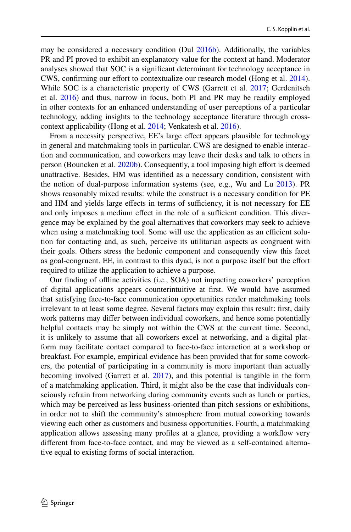may be considered a necessary condition (Dul [2016b\)](#page-30-20). Additionally, the variables PR and PI proved to exhibit an explanatory value for the context at hand. Moderator analyses showed that SOC is a signifcant determinant for technology acceptance in CWS, confirming our effort to contextualize our research model (Hong et al. [2014\)](#page-31-23). While SOC is a characteristic property of CWS (Garrett et al. [2017;](#page-31-0) Gerdenitsch et al. [2016\)](#page-31-1) and thus, narrow in focus, both PI and PR may be readily employed in other contexts for an enhanced understanding of user perceptions of a particular technology, adding insights to the technology acceptance literature through crosscontext applicability (Hong et al. [2014](#page-31-23); Venkatesh et al. [2016](#page-32-16)).

From a necessity perspective, EE's large effect appears plausible for technology in general and matchmaking tools in particular. CWS are designed to enable interaction and communication, and coworkers may leave their desks and talk to others in person (Bouncken et al. [2020b](#page-30-4)). Consequently, a tool imposing high effort is deemed unattractive. Besides, HM was identifed as a necessary condition, consistent with the notion of dual-purpose information systems (see, e.g., Wu and Lu [2013](#page-32-11)). PR shows reasonably mixed results: while the construct is a necessary condition for PE and HM and yields large effects in terms of sufficiency, it is not necessary for EE and only imposes a medium effect in the role of a sufficient condition. This divergence may be explained by the goal alternatives that coworkers may seek to achieve when using a matchmaking tool. Some will use the application as an efficient solution for contacting and, as such, perceive its utilitarian aspects as congruent with their goals. Others stress the hedonic component and consequently view this facet as goal-congruent. EE, in contrast to this dyad, is not a purpose itself but the efort required to utilize the application to achieve a purpose.

Our fnding of ofine activities (i.e., SOA) not impacting coworkers' perception of digital applications appears counterintuitive at frst. We would have assumed that satisfying face-to-face communication opportunities render matchmaking tools irrelevant to at least some degree. Several factors may explain this result: frst, daily work patterns may difer between individual coworkers, and hence some potentially helpful contacts may be simply not within the CWS at the current time. Second, it is unlikely to assume that all coworkers excel at networking, and a digital platform may facilitate contact compared to face-to-face interaction at a workshop or breakfast. For example, empirical evidence has been provided that for some coworkers, the potential of participating in a community is more important than actually becoming involved (Garrett et al. [2017](#page-31-0)), and this potential is tangible in the form of a matchmaking application. Third, it might also be the case that individuals consciously refrain from networking during community events such as lunch or parties, which may be perceived as less business-oriented than pitch sessions or exhibitions, in order not to shift the community's atmosphere from mutual coworking towards viewing each other as customers and business opportunities. Fourth, a matchmaking application allows assessing many profles at a glance, providing a workfow very diferent from face-to-face contact, and may be viewed as a self-contained alternative equal to existing forms of social interaction.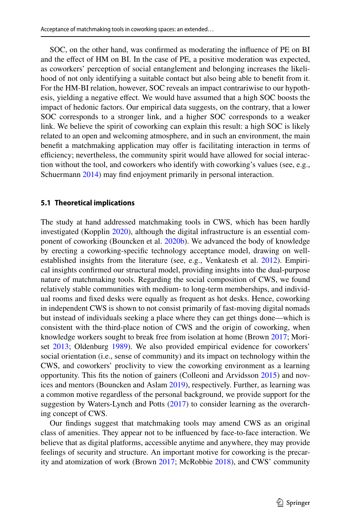SOC, on the other hand, was confrmed as moderating the infuence of PE on BI and the efect of HM on BI. In the case of PE, a positive moderation was expected, as coworkers' perception of social entanglement and belonging increases the likelihood of not only identifying a suitable contact but also being able to beneft from it. For the HM-BI relation, however, SOC reveals an impact contrariwise to our hypothesis, yielding a negative efect. We would have assumed that a high SOC boosts the impact of hedonic factors. Our empirical data suggests, on the contrary, that a lower SOC corresponds to a stronger link, and a higher SOC corresponds to a weaker link. We believe the spirit of coworking can explain this result: a high SOC is likely related to an open and welcoming atmosphere, and in such an environment, the main benefit a matchmaking application may offer is facilitating interaction in terms of efficiency; nevertheless, the community spirit would have allowed for social interaction without the tool, and coworkers who identify with coworking's values (see, e.g., Schuermann [2014\)](#page-32-24) may find enjoyment primarily in personal interaction.

#### **5.1 Theoretical implications**

The study at hand addressed matchmaking tools in CWS, which has been hardly investigated (Kopplin [2020\)](#page-31-3), although the digital infrastructure is an essential component of coworking (Bouncken et al. [2020b](#page-30-4)). We advanced the body of knowledge by erecting a coworking-specifc technology acceptance model, drawing on wellestablished insights from the literature (see, e.g., Venkatesh et al. [2012](#page-32-10)). Empirical insights confrmed our structural model, providing insights into the dual-purpose nature of matchmaking tools. Regarding the social composition of CWS, we found relatively stable communities with medium- to long-term memberships, and individual rooms and fxed desks were equally as frequent as hot desks. Hence, coworking in independent CWS is shown to not consist primarily of fast-moving digital nomads but instead of individuals seeking a place where they can get things done—which is consistent with the third-place notion of CWS and the origin of coworking, when knowledge workers sought to break free from isolation at home (Brown [2017;](#page-30-21) Moriset [2013](#page-32-4); Oldenburg [1989\)](#page-32-25). We also provided empirical evidence for coworkers' social orientation (i.e., sense of community) and its impact on technology within the CWS, and coworkers' proclivity to view the coworking environment as a learning opportunity. This fts the notion of gainers (Colleoni and Arvidsson [2015\)](#page-30-22) and novices and mentors (Bouncken and Aslam [2019](#page-30-2)), respectively. Further, as learning was a common motive regardless of the personal background, we provide support for the suggestion by Waters-Lynch and Potts ([2017\)](#page-32-9) to consider learning as the overarching concept of CWS.

Our fndings suggest that matchmaking tools may amend CWS as an original class of amenities. They appear not to be infuenced by face-to-face interaction. We believe that as digital platforms, accessible anytime and anywhere, they may provide feelings of security and structure. An important motive for coworking is the precarity and atomization of work (Brown [2017;](#page-30-21) McRobbie [2018](#page-31-24)), and CWS' community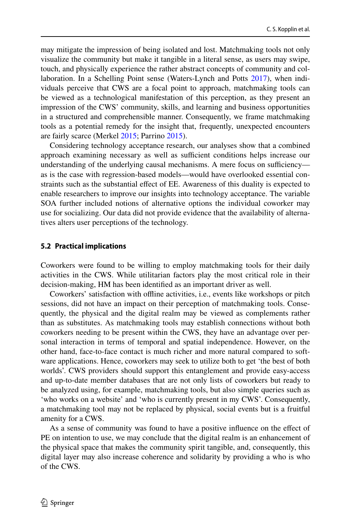may mitigate the impression of being isolated and lost. Matchmaking tools not only visualize the community but make it tangible in a literal sense, as users may swipe, touch, and physically experience the rather abstract concepts of community and collaboration. In a Schelling Point sense (Waters-Lynch and Potts [2017](#page-32-9)), when individuals perceive that CWS are a focal point to approach, matchmaking tools can be viewed as a technological manifestation of this perception, as they present an impression of the CWS' community, skills, and learning and business opportunities in a structured and comprehensible manner. Consequently, we frame matchmaking tools as a potential remedy for the insight that, frequently, unexpected encounters are fairly scarce (Merkel [2015](#page-31-25); Parrino [2015\)](#page-32-8).

Considering technology acceptance research, our analyses show that a combined approach examining necessary as well as sufficient conditions helps increase our understanding of the underlying causal mechanisms. A mere focus on sufficiency as is the case with regression-based models—would have overlooked essential constraints such as the substantial efect of EE. Awareness of this duality is expected to enable researchers to improve our insights into technology acceptance. The variable SOA further included notions of alternative options the individual coworker may use for socializing. Our data did not provide evidence that the availability of alternatives alters user perceptions of the technology.

#### **5.2 Practical implications**

Coworkers were found to be willing to employ matchmaking tools for their daily activities in the CWS. While utilitarian factors play the most critical role in their decision-making, HM has been identifed as an important driver as well.

Coworkers' satisfaction with ofine activities, i.e., events like workshops or pitch sessions, did not have an impact on their perception of matchmaking tools. Consequently, the physical and the digital realm may be viewed as complements rather than as substitutes. As matchmaking tools may establish connections without both coworkers needing to be present within the CWS, they have an advantage over personal interaction in terms of temporal and spatial independence. However, on the other hand, face-to-face contact is much richer and more natural compared to software applications. Hence, coworkers may seek to utilize both to get 'the best of both worlds'. CWS providers should support this entanglement and provide easy-access and up-to-date member databases that are not only lists of coworkers but ready to be analyzed using, for example, matchmaking tools, but also simple queries such as 'who works on a website' and 'who is currently present in my CWS'. Consequently, a matchmaking tool may not be replaced by physical, social events but is a fruitful amenity for a CWS.

As a sense of community was found to have a positive infuence on the efect of PE on intention to use, we may conclude that the digital realm is an enhancement of the physical space that makes the community spirit tangible, and, consequently, this digital layer may also increase coherence and solidarity by providing a who is who of the CWS.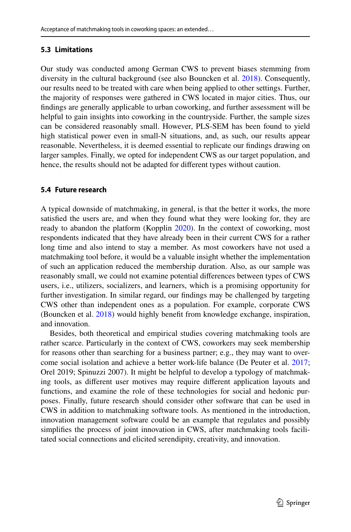### **5.3 Limitations**

Our study was conducted among German CWS to prevent biases stemming from diversity in the cultural background (see also Bouncken et al. [2018\)](#page-30-19). Consequently, our results need to be treated with care when being applied to other settings. Further, the majority of responses were gathered in CWS located in major cities. Thus, our fndings are generally applicable to urban coworking, and further assessment will be helpful to gain insights into coworking in the countryside. Further, the sample sizes can be considered reasonably small. However, PLS-SEM has been found to yield high statistical power even in small-N situations, and, as such, our results appear reasonable. Nevertheless, it is deemed essential to replicate our fndings drawing on larger samples. Finally, we opted for independent CWS as our target population, and hence, the results should not be adapted for diferent types without caution.

#### **5.4 Future research**

A typical downside of matchmaking, in general, is that the better it works, the more satisfed the users are, and when they found what they were looking for, they are ready to abandon the platform (Kopplin [2020\)](#page-31-3). In the context of coworking, most respondents indicated that they have already been in their current CWS for a rather long time and also intend to stay a member. As most coworkers have not used a matchmaking tool before, it would be a valuable insight whether the implementation of such an application reduced the membership duration. Also, as our sample was reasonably small, we could not examine potential diferences between types of CWS users, i.e., utilizers, socializers, and learners, which is a promising opportunity for further investigation. In similar regard, our fndings may be challenged by targeting CWS other than independent ones as a population. For example, corporate CWS (Bouncken et al. [2018](#page-30-19)) would highly beneft from knowledge exchange, inspiration, and innovation.

Besides, both theoretical and empirical studies covering matchmaking tools are rather scarce. Particularly in the context of CWS, coworkers may seek membership for reasons other than searching for a business partner; e.g., they may want to overcome social isolation and achieve a better work-life balance (De Peuter et al. [2017;](#page-30-23) Orel 2019; Spinuzzi 2007). It might be helpful to develop a typology of matchmaking tools, as diferent user motives may require diferent application layouts and functions, and examine the role of these technologies for social and hedonic purposes. Finally, future research should consider other software that can be used in CWS in addition to matchmaking software tools. As mentioned in the introduction, innovation management software could be an example that regulates and possibly simplifes the process of joint innovation in CWS, after matchmaking tools facilitated social connections and elicited serendipity, creativity, and innovation.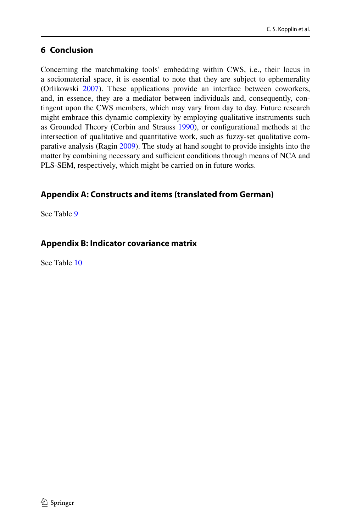# **6 Conclusion**

Concerning the matchmaking tools' embedding within CWS, i.e., their locus in a sociomaterial space, it is essential to note that they are subject to ephemerality (Orlikowski [2007\)](#page-32-6). These applications provide an interface between coworkers, and, in essence, they are a mediator between individuals and, consequently, contingent upon the CWS members, which may vary from day to day. Future research might embrace this dynamic complexity by employing qualitative instruments such as Grounded Theory (Corbin and Strauss [1990](#page-30-24)), or confgurational methods at the intersection of qualitative and quantitative work, such as fuzzy-set qualitative comparative analysis (Ragin [2009\)](#page-32-23). The study at hand sought to provide insights into the matter by combining necessary and sufficient conditions through means of NCA and PLS-SEM, respectively, which might be carried on in future works.

# <span id="page-23-0"></span>**Appendix A: Constructs and items (translated from German)**

See Table [9](#page-24-0)

# <span id="page-23-1"></span>**Appendix B: Indicator covariance matrix**

See Table [10](#page-26-0)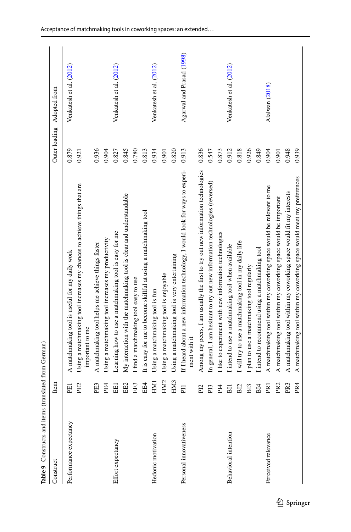<span id="page-24-0"></span>

| Table 9 Constructs and items (translated from German) |                 |                                                                                                 |               |                           |
|-------------------------------------------------------|-----------------|-------------------------------------------------------------------------------------------------|---------------|---------------------------|
| Construct                                             | Item            |                                                                                                 | Outer loading | Adopted from              |
| Performance expectancy                                | <b>PEI</b>      | A matchmaking tool is useful for my daily work                                                  | 0.879         | Venkatesh et al. (2012)   |
|                                                       | PE2             | Using a matchmaking tool increases my chances to achieve things that are<br>important to me     | 0.921         |                           |
|                                                       | PE <sub>3</sub> | A matchmaking tool helps me achieve things faster                                               | 0.936         |                           |
|                                                       | P <sub>E4</sub> | Using a matchmaking tool increases my productivity                                              | 0.904         |                           |
| Effort expectancy                                     | EEI             | Learning how to use a matchmaking tool is easy for me                                           | 0.827         | Venkatesh et al. (2012)   |
|                                                       | EE2             | My interaction with the matchmaking tool is clear and understandable                            | 0.845         |                           |
|                                                       | EE3             | I find a matchmaking tool easy to use                                                           | 0.780         |                           |
|                                                       | EE4             | It is easy for me to become skillful at using a matchmaking tool                                | 0.813         |                           |
| Hedonic motivation                                    | EMI             | Using a matchmaking tool is fun                                                                 | 0.934         | Venkatesh et al. (2012)   |
|                                                       | HM <sub>2</sub> | Using a matchmaking tool is enjoyable                                                           | 0.901         |                           |
|                                                       | HM <sub>3</sub> | Using a matchmaking tool is very entertaining                                                   | 0.820         |                           |
| Personal innovativeness                               | $\overline{E}$  | If I heard about a new information technology, I would look for ways to experi-<br>ment with it | 0.913         | Agarwal and Prasad (1998) |
|                                                       | PI2             | Among my peers, I am usually the first to try out new information technologies                  | 0.836         |                           |
|                                                       | P <sub>13</sub> | In general, I am hesitant to try out new information technologies (reversed)                    | 0.547         |                           |
|                                                       | PI <sub>4</sub> | like to experiment with new information technologies                                            | 0.873         |                           |
| Behavioral intention                                  | <b>BII</b>      | l intend to use a matchmaking tool when available                                               | 0.912         | Venkatesh et al. (2012)   |
|                                                       | B <sub>12</sub> | I will try to use a matchmaking tool in my daily life                                           | 0.818         |                           |
|                                                       | BI <sub>3</sub> | I plan to use a matchmaking tool regularly                                                      | 0.926         |                           |
|                                                       | B14             | I intend to recommend using a matchmaking tool                                                  | 0.849         |                           |
| Perceived relevance                                   | PR <sub>1</sub> | A matchmaking tool within my coworking space would be relevant to me                            | 0.904         | Alalwan (2018)            |
|                                                       | PR <sub>2</sub> | A matchmaking tool within my coworking space would be important                                 | 0.901         |                           |
|                                                       | PR <sub>3</sub> | A matchmaking tool within my coworking space would fit my interests                             | 0.948         |                           |
|                                                       | PR <sub>4</sub> | A matchmaking tool within my coworking space would meet my preferences                          | 0.939         |                           |
|                                                       |                 |                                                                                                 |               |                           |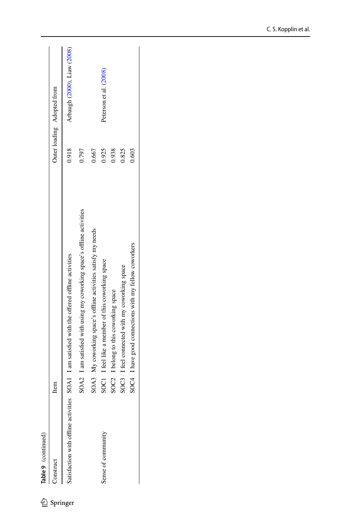Table 9 (continued)

 $\mathcal{L}$  Springer

| Construct                          | Item                                                                   |       | Outer loading Adopted from  |
|------------------------------------|------------------------------------------------------------------------|-------|-----------------------------|
| satisfaction with offline activiti | ies SOA1 I am satisfied with the offered offline activities            | 0.918 | Arbaugh (2000), Liaw (2008) |
|                                    | SOA2 I am satisfied with using my coworking space's offline activities | 0.797 |                             |
|                                    | SOA3 My coworking space's offline activities satisfy my needs          | 0.667 |                             |
| Sense of communit                  | SOC1 I feel like a member of this coworking space                      | 0.925 | Peterson et al. (2008)      |
|                                    | SOC2 I belong to this coworking space                                  | 0.938 |                             |
|                                    | SOC3 I feel connected with my coworking space                          | 0.825 |                             |
|                                    | SOC4 I have good connections with my fellow coworkers                  | 0.603 |                             |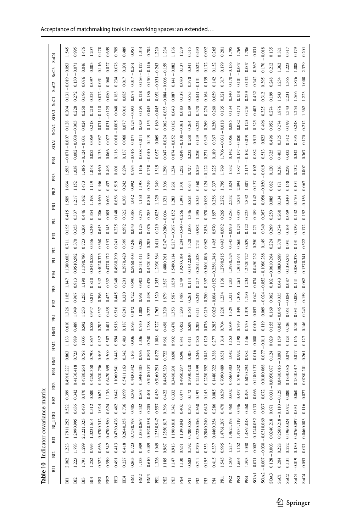<span id="page-26-0"></span>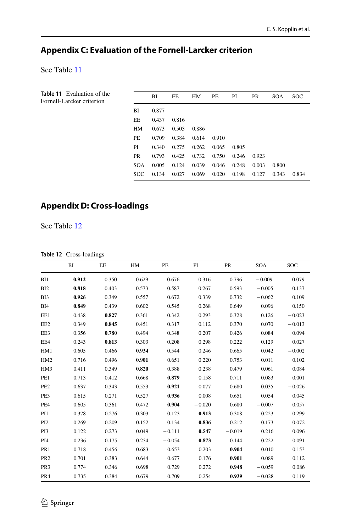# <span id="page-27-0"></span>**Appendix C: Evaluation of the Fornell‑Larcker criterion**

See Table [11](#page-27-2)

<span id="page-27-2"></span>

| <b>Table 11</b> Evaluation of the<br>Fornell-Larcker criterion |            | BI    | EE    | HM    | PE    | PI    | <b>PR</b> | <b>SOA</b> | <b>SOC</b> |
|----------------------------------------------------------------|------------|-------|-------|-------|-------|-------|-----------|------------|------------|
|                                                                | BI         | 0.877 |       |       |       |       |           |            |            |
|                                                                | EE         | 0.437 | 0.816 |       |       |       |           |            |            |
|                                                                | HM         | 0.673 | 0.503 | 0.886 |       |       |           |            |            |
|                                                                | PE         | 0.709 | 0.384 | 0.614 | 0.910 |       |           |            |            |
|                                                                | PI         | 0.340 | 0.275 | 0.262 | 0.065 | 0.805 |           |            |            |
|                                                                | <b>PR</b>  | 0.793 | 0.425 | 0.732 | 0.750 | 0.246 | 0.923     |            |            |
|                                                                | <b>SOA</b> | 0.005 | 0.124 | 0.039 | 0.046 | 0.248 | 0.003     | 0.800      |            |
|                                                                | SOC.       | 0.134 | 0.027 | 0.069 | 0.020 | 0.198 | 0.127     | 0.343      | 0.834      |

# <span id="page-27-1"></span>**Appendix D: Cross‑loadings**

See Table [12](#page-27-3)

#### <span id="page-27-3"></span>**Table 12** Cross-loadings

|                 | BI    | EE    | HM    | PE       | PI       | PR       | <b>SOA</b> | <b>SOC</b> |
|-----------------|-------|-------|-------|----------|----------|----------|------------|------------|
| BI1             | 0.912 | 0.350 | 0.629 | 0.676    | 0.316    | 0.796    | $-0.009$   | 0.079      |
| BI <sub>2</sub> | 0.818 | 0.403 | 0.573 | 0.587    | 0.267    | 0.593    | $-0.005$   | 0.137      |
| BI3             | 0.926 | 0.349 | 0.557 | 0.672    | 0.339    | 0.732    | $-0.062$   | 0.109      |
| BI4             | 0.849 | 0.439 | 0.602 | 0.545    | 0.268    | 0.649    | 0.096      | 0.150      |
| EE1             | 0.438 | 0.827 | 0.361 | 0.342    | 0.293    | 0.328    | 0.126      | $-0.023$   |
| EE2             | 0.349 | 0.845 | 0.451 | 0.317    | 0.112    | 0.370    | 0.070      | $-0.013$   |
| EE3             | 0.356 | 0.780 | 0.494 | 0.348    | 0.207    | 0.426    | 0.084      | 0.094      |
| EE4             | 0.243 | 0.813 | 0.303 | 0.208    | 0.298    | 0.222    | 0.129      | 0.027      |
| HM1             | 0.605 | 0.466 | 0.934 | 0.544    | 0.246    | 0.665    | 0.042      | $-0.002$   |
| HM <sub>2</sub> | 0.716 | 0.496 | 0.901 | 0.651    | 0.220    | 0.753    | 0.011      | 0.102      |
| HM3             | 0.411 | 0.349 | 0.820 | 0.388    | 0.238    | 0.479    | 0.061      | 0.084      |
| PE1             | 0.713 | 0.412 | 0.668 | 0.879    | 0.158    | 0.711    | 0.083      | 0.001      |
| PE <sub>2</sub> | 0.637 | 0.343 | 0.553 | 0.921    | 0.077    | 0.680    | 0.035      | $-0.026$   |
| PE3             | 0.615 | 0.271 | 0.527 | 0.936    | 0.008    | 0.651    | 0.054      | 0.045      |
| PE4             | 0.605 | 0.361 | 0.472 | 0.904    | $-0.020$ | 0.680    | $-0.007$   | 0.057      |
| PI1             | 0.378 | 0.276 | 0.303 | 0.123    | 0.913    | 0.308    | 0.223      | 0.299      |
| PI <sub>2</sub> | 0.269 | 0.209 | 0.152 | 0.134    | 0.836    | 0.212    | 0.173      | 0.072      |
| PI3             | 0.122 | 0.273 | 0.049 | $-0.111$ | 0.547    | $-0.019$ | 0.216      | 0.096      |
| PI <sub>4</sub> | 0.236 | 0.175 | 0.234 | $-0.054$ | 0.873    | 0.144    | 0.222      | 0.091      |
| PR <sub>1</sub> | 0.718 | 0.456 | 0.683 | 0.653    | 0.203    | 0.904    | 0.010      | 0.153      |
| PR <sub>2</sub> | 0.701 | 0.383 | 0.644 | 0.677    | 0.176    | 0.901    | 0.089      | 0.112      |
| PR <sub>3</sub> | 0.774 | 0.346 | 0.698 | 0.729    | 0.272    | 0.948    | $-0.059$   | 0.086      |
| PR4             | 0.735 | 0.384 | 0.679 | 0.709    | 0.254    | 0.939    | $-0.028$   | 0.119      |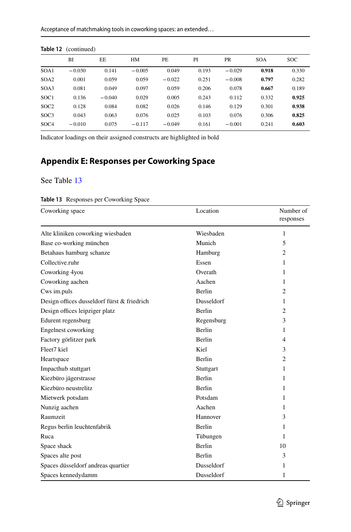|                  | BI       | EE.      | HM       | PE.      | PI    | <b>PR</b> | <b>SOA</b> | <b>SOC</b> |
|------------------|----------|----------|----------|----------|-------|-----------|------------|------------|
| SOA1             | $-0.030$ | 0.141    | $-0.005$ | 0.049    | 0.193 | $-0.029$  | 0.918      | 0.330      |
| SOA <sub>2</sub> | 0.001    | 0.059    | 0.059    | $-0.022$ | 0.251 | $-0.008$  | 0.797      | 0.282      |
| SOA3             | 0.081    | 0.049    | 0.097    | 0.059    | 0.206 | 0.078     | 0.667      | 0.189      |
| SOC <sub>1</sub> | 0.136    | $-0.040$ | 0.029    | 0.005    | 0.243 | 0.112     | 0.332      | 0.925      |
| SOC <sub>2</sub> | 0.128    | 0.084    | 0.082    | 0.026    | 0.146 | 0.129     | 0.301      | 0.938      |
| SOC <sub>3</sub> | 0.043    | 0.063    | 0.076    | 0.025    | 0.103 | 0.076     | 0.306      | 0.825      |
| SOC <sub>4</sub> | $-0.010$ | 0.075    | $-0.117$ | $-0.049$ | 0.161 | $-0.001$  | 0.241      | 0.603      |
|                  |          |          |          |          |       |           |            |            |

#### **Table 12** (continued)

Indicator loadings on their assigned constructs are highlighted in bold

# <span id="page-28-0"></span>**Appendix E: Responses per Coworking Space**

# See Table [13](#page-28-1)

#### <span id="page-28-1"></span>**Table 13** Responses per Coworking Space

| Coworking space                             | Location      | Number of<br>responses |
|---------------------------------------------|---------------|------------------------|
| Alte kliniken coworking wiesbaden           | Wiesbaden     | 1                      |
| Base co-working münchen                     | Munich        | 5                      |
| Betahaus hamburg schanze                    | Hamburg       | $\overline{c}$         |
| Collective.ruhr                             | Essen         | 1                      |
| Coworking 4you                              | Overath       | 1                      |
| Coworking aachen                            | Aachen        | 1                      |
| Cws im.puls                                 | Berlin        | $\overline{c}$         |
| Design offices dusseldorf fürst & friedrich | Dusseldorf    | 1                      |
| Design offices leipziger platz              | <b>Berlin</b> | $\overline{c}$         |
| Edurent regensburg                          | Regensburg    | 3                      |
| Engelnest coworking                         | <b>Berlin</b> | 1                      |
| Factory görlitzer park                      | <b>Berlin</b> | 4                      |
| Fleet7 kiel                                 | Kiel          | 3                      |
| Heartspace                                  | Berlin        | $\overline{c}$         |
| Impacthub stuttgart                         | Stuttgart     | 1                      |
| Kiezbüro jägerstrasse                       | <b>Berlin</b> | 1                      |
| Kiezbüro neustrelitz                        | <b>Berlin</b> | 1                      |
| Mietwerk potsdam                            | Potsdam       | 1                      |
| Nunzig aachen                               | Aachen        | 1                      |
| Raumzeit                                    | Hannover      | 3                      |
| Regus berlin leuchtenfabrik                 | Berlin        | 1                      |
| Ruca                                        | Tübungen      | 1                      |
| Space shack                                 | <b>Berlin</b> | 10                     |
| Spaces alte post                            | <b>Berlin</b> | 3                      |
| Spaces düsseldorf andreas quartier          | Dusseldorf    | 1                      |
| Spaces kennedydamm                          | Dusseldorf    | 1                      |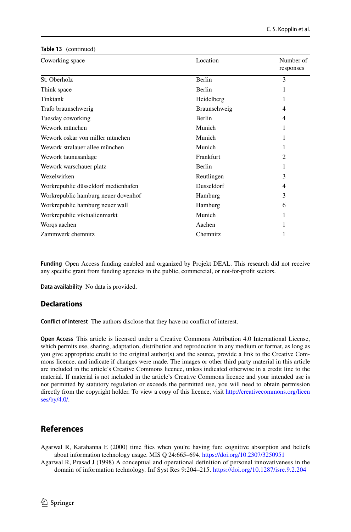| Coworking space                     | Location          | Number of<br>responses |
|-------------------------------------|-------------------|------------------------|
| St. Oberholz                        | Berlin            | 3                      |
| Think space                         | <b>Berlin</b>     |                        |
| Tinktank                            | Heidelberg        | 1                      |
| Trafo braunschwerig                 | Braunschweig      | 4                      |
| Tuesday coworking                   | <b>Berlin</b>     | 4                      |
| Wework münchen                      | Munich            | 1                      |
| Wework oskar von miller münchen     | Munich            |                        |
| Wework stralauer allee münchen      | Munich            | 1                      |
| Wework taunusanlage                 | Frankfurt         | 2                      |
| Wework warschauer platz             | <b>Berlin</b>     |                        |
| Wexelwirken                         | Reutlingen        | 3                      |
| Workrepublic düsseldorf medienhafen | <b>Dusseldorf</b> | 4                      |
| Workrepublic hamburg neuer dovenhof | Hamburg           | 3                      |
| Workrepublic hamburg neuer wall     | Hamburg           | 6                      |
| Workrepublic viktualienmarkt        | Munich            | 1                      |
| Worgs aachen                        | Aachen            |                        |
| Zammwerk chemnitz                   | Chemnitz          | 1                      |

**Funding** Open Access funding enabled and organized by Projekt DEAL. This research did not receive any specifc grant from funding agencies in the public, commercial, or not-for-proft sectors.

**Data availability** No data is provided.

#### **Declarations**

**Table 13** (continued)

**Confict of interest** The authors disclose that they have no confict of interest.

**Open Access** This article is licensed under a Creative Commons Attribution 4.0 International License, which permits use, sharing, adaptation, distribution and reproduction in any medium or format, as long as you give appropriate credit to the original author(s) and the source, provide a link to the Creative Commons licence, and indicate if changes were made. The images or other third party material in this article are included in the article's Creative Commons licence, unless indicated otherwise in a credit line to the material. If material is not included in the article's Creative Commons licence and your intended use is not permitted by statutory regulation or exceeds the permitted use, you will need to obtain permission directly from the copyright holder. To view a copy of this licence, visit [http://creativecommons.org/licen](http://creativecommons.org/licenses/by/4.0/) [ses/by/4.0/](http://creativecommons.org/licenses/by/4.0/).

# **References**

<span id="page-29-0"></span>Agarwal R, Karahanna E (2000) time fies when you're having fun: cognitive absorption and beliefs about information technology usage. MIS Q 24:665–694.<https://doi.org/10.2307/3250951>

<span id="page-29-1"></span>Agarwal R, Prasad J (1998) A conceptual and operational defnition of personal innovativeness in the domain of information technology. Inf Syst Res 9:204–215. <https://doi.org/10.1287/isre.9.2.204>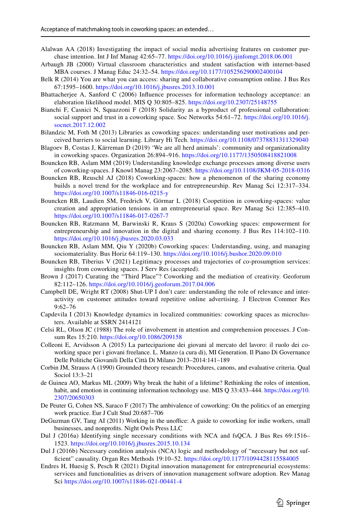- <span id="page-30-16"></span>Alalwan AA (2018) Investigating the impact of social media advertising features on customer purchase intention. Int J Inf Manag 42:65–77. <https://doi.org/10.1016/j.ijinfomgt.2018.06.001>
- <span id="page-30-17"></span>Arbaugh JB (2000) Virtual classroom characteristics and student satisfaction with internet-based MBA courses. J Manag Educ 24:32–54. <https://doi.org/10.1177/105256290002400104>
- <span id="page-30-10"></span>Belk R (2014) You are what you can access: sharing and collaborative consumption online. J Bus Res 67:1595–1600. <https://doi.org/10.1016/j.jbusres.2013.10.001>
- <span id="page-30-12"></span>Bhattacherjee A, Sanford C (2006) Infuence processes for information technology acceptance: an elaboration likelihood model. MIS Q 30:805–825. <https://doi.org/10.2307/25148755>
- <span id="page-30-8"></span>Bianchi F, Casnici N, Squazzoni F (2018) Solidarity as a byproduct of professional collaboration: social support and trust in a coworking space. Soc Networks 54:61–72. [https://doi.org/10.1016/j.](https://doi.org/10.1016/j.socnet.2017.12.002) [socnet.2017.12.002](https://doi.org/10.1016/j.socnet.2017.12.002)
- <span id="page-30-15"></span>Bilandzic M, Foth M (2013) Libraries as coworking spaces: understanding user motivations and perceived barriers to social learning. Library Hi Tech.<https://doi.org/10.1108/07378831311329040>
- <span id="page-30-3"></span>Blagoev B, Costas J, Kärreman D (2019) 'We are all herd animals': community and organizationality in coworking spaces. Organization 26:894–916. <https://doi.org/10.1177/1350508418821008>
- <span id="page-30-2"></span>Bouncken RB, Aslam MM (2019) Understanding knowledge exchange processes among diverse users of coworking-spaces. J Knowl Manag 23:2067–2085. <https://doi.org/10.1108/JKM-05-2018-0316>
- <span id="page-30-0"></span>Bouncken RB, Reuschl AJ (2018) Coworking-spaces: how a phenomenon of the sharing economy builds a novel trend for the workplace and for entrepreneurship. Rev Manag Sci 12:317–334. <https://doi.org/10.1007/s11846-016-0215-y>
- <span id="page-30-19"></span>Bouncken RB, Laudien SM, Fredrich V, Görmar L (2018) Coopetition in coworking-spaces: value creation and appropriation tensions in an entrepreneurial space. Rev Manag Sci 12:385–410. <https://doi.org/10.1007/s11846-017-0267-7>
- <span id="page-30-1"></span>Bouncken RB, Ratzmann M, Barwinski R, Kraus S (2020a) Coworking spaces: empowerment for entrepreneurship and innovation in the digital and sharing economy. J Bus Res 114:102–110. <https://doi.org/10.1016/j.jbusres.2020.03.033>
- <span id="page-30-4"></span>Bouncken RB, Aslam MM, Qiu Y (2020b) Coworking spaces: Understanding, using, and managing sociomateriality. Bus Horiz 64:119–130. <https://doi.org/10.1016/j.bushor.2020.09.010>
- <span id="page-30-5"></span>Bouncken RB, Tiberius V (2021) Legitimacy processes and trajectories of co-prosumption services: insights from coworking spaces. J Serv Res (accepted).
- <span id="page-30-21"></span>Brown J (2017) Curating the "Third Place"? Coworking and the mediation of creativity. Geoforum 82:112–126. <https://doi.org/10.1016/j.geoforum.2017.04.006>
- <span id="page-30-11"></span>Campbell DE, Wright RT (2008) Shut-UP I don't care: understanding the role of relevance and interactivity on customer attitudes toward repetitive online advertising. J Electron Commer Res 9:62–76
- <span id="page-30-14"></span>Capdevila I (2013) Knowledge dynamics in localized communities: coworking spaces as microclusters. Available at SSRN 2414121
- <span id="page-30-13"></span>Celsi RL, Olson JC (1988) The role of involvement in attention and comprehension processes. J Consum Res 15:210.<https://doi.org/10.1086/209158>
- <span id="page-30-22"></span>Colleoni E, Arvidsson A (2015) La partecipazione dei giovani al mercato del lavoro: il ruolo dei coworking space per i giovani freelance. L. Manzo (a cura di), MI Generation. Il Piano Di Governance Delle Politiche Giovanili Della Città Di Milano 2013–2014:141–189
- <span id="page-30-24"></span>Corbin JM, Strauss A (1990) Grounded theory research: Procedures, canons, and evaluative criteria. Qual Sociol 13:3–21
- <span id="page-30-18"></span>de Guinea AO, Markus ML (2009) Why break the habit of a lifetime? Rethinking the roles of intention, habit, and emotion in continuing information technology use. MIS Q 33:433–444. [https://doi.org/10.](https://doi.org/10.2307/20650303) [2307/20650303](https://doi.org/10.2307/20650303)
- <span id="page-30-23"></span>De Peuter G, Cohen NS, Saraco F (2017) The ambivalence of coworking: On the politics of an emerging work practice. Eur J Cult Stud 20:687–706
- <span id="page-30-9"></span>DeGuzman GV, Tang AI (2011) Working in the unoffice: A guide to coworking for indie workers, small businesses, and nonprofts. Night Owls Press LLC
- <span id="page-30-7"></span>Dul J (2016a) Identifying single necessary conditions with NCA and fsQCA. J Bus Res 69:1516– 1523. <https://doi.org/10.1016/j.jbusres.2015.10.134>
- <span id="page-30-20"></span>Dul J (2016b) Necessary condition analysis (NCA) logic and methodology of "necessary but not suffcient" causality. Organ Res Methods 19:10–52. <https://doi.org/10.1177/1094428115584005>
- <span id="page-30-6"></span>Endres H, Huesig S, Pesch R (2021) Digital innovation management for entrepreneurial ecosystems: services and functionalities as drivers of innovation management software adoption. Rev Manag Sci <https://doi.org/10.1007/s11846-021-00441-4>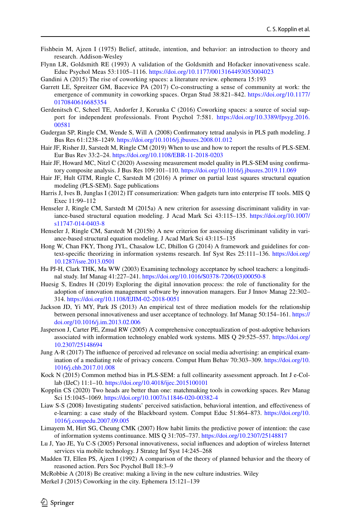- <span id="page-31-11"></span>Fishbein M, Ajzen I (1975) Belief, attitude, intention, and behavior: an introduction to theory and research. Addison-Wesley
- <span id="page-31-6"></span>Flynn LR, Goldsmith RE (1993) A validation of the Goldsmith and Hofacker innovativeness scale. Educ Psychol Meas 53:1105–1116. <https://doi.org/10.1177/0013164493053004023>

<span id="page-31-4"></span>Gandini A (2015) The rise of coworking spaces: a literature review. ephemera 15:193

- <span id="page-31-0"></span>Garrett LE, Spreitzer GM, Bacevice PA (2017) Co-constructing a sense of community at work: the emergence of community in coworking spaces. Organ Stud 38:821–842. [https://doi.org/10.1177/](https://doi.org/10.1177/0170840616685354) [0170840616685354](https://doi.org/10.1177/0170840616685354)
- <span id="page-31-1"></span>Gerdenitsch C, Scheel TE, Andorfer J, Korunka C (2016) Coworking spaces: a source of social support for independent professionals. Front Psychol 7:581. [https://doi.org/10.3389/fpsyg.2016.](https://doi.org/10.3389/fpsyg.2016.00581) [00581](https://doi.org/10.3389/fpsyg.2016.00581)
- <span id="page-31-17"></span>Gudergan SP, Ringle CM, Wende S, Will A (2008) Confrmatory tetrad analysis in PLS path modeling. J Bus Res 61:1238–1249. <https://doi.org/10.1016/j.jbusres.2008.01.012>
- <span id="page-31-19"></span>Hair JF, Risher JJ, Sarstedt M, Ringle CM (2019) When to use and how to report the results of PLS-SEM. Eur Bus Rev 33:2–24. <https://doi.org/10.1108/EBR-11-2018-0203>
- <span id="page-31-18"></span>Hair JF, Howard MC, Nitzl C (2020) Assessing measurement model quality in PLS-SEM using confrmatory composite analysis. J Bus Res 109:101–110. <https://doi.org/10.1016/j.jbusres.2019.11.069>
- <span id="page-31-20"></span>Hair JF, Hult GTM, Ringle C, Sarstedt M (2016) A primer on partial least squares structural equation modeling (PLS-SEM). Sage publications
- <span id="page-31-5"></span>Harris J, Ives B, Junglas I (2012) IT consumerization: When gadgets turn into enterprise IT tools. MIS Q Exec 11:99–112
- <span id="page-31-22"></span>Henseler J, Ringle CM, Sarstedt M (2015a) A new criterion for assessing discriminant validity in variance-based structural equation modeling. J Acad Mark Sci 43:115–135. [https://doi.org/10.1007/](https://doi.org/10.1007/s11747-014-0403-8) [s11747-014-0403-8](https://doi.org/10.1007/s11747-014-0403-8)
- <span id="page-31-21"></span>Henseler J, Ringle CM, Sarstedt M (2015b) A new criterion for assessing discriminant validity in variance-based structural equation modeling. J Acad Mark Sci 43:115–135
- <span id="page-31-23"></span>Hong W, Chan FKY, Thong JYL, Chasalow LC, Dhillon G (2014) A framework and guidelines for context-specifc theorizing in information systems research. Inf Syst Res 25:111–136. [https://doi.org/](https://doi.org/10.1287/isre.2013.0501) [10.1287/isre.2013.0501](https://doi.org/10.1287/isre.2013.0501)
- <span id="page-31-10"></span>Hu PJ-H, Clark THK, Ma WW (2003) Examining technology acceptance by school teachers: a longitudinal study. Inf Manag 41:227–241. [https://doi.org/10.1016/S0378-7206\(03\)00050-8](https://doi.org/10.1016/S0378-7206(03)00050-8)
- <span id="page-31-2"></span>Huesig S, Endres H (2019) Exploring the digital innovation process: the role of functionality for the adoption of innovation management software by innovation managers. Eur J Innov Manag 22:302– 314.<https://doi.org/10.1108/EJIM-02-2018-0051>
- <span id="page-31-7"></span>Jackson JD, Yi MY, Park JS (2013) An empirical test of three mediation models for the relationship between personal innovativeness and user acceptance of technology. Inf Manag 50:154–161. [https://](https://doi.org/10.1016/j.im.2013.02.006) [doi.org/10.1016/j.im.2013.02.006](https://doi.org/10.1016/j.im.2013.02.006)
- <span id="page-31-14"></span>Jasperson J, Carter PE, Zmud RW (2005) A comprehensive conceptualization of post-adoptive behaviors associated with information technology enabled work systems. MIS Q 29:525–557. [https://doi.org/](https://doi.org/10.2307/25148694) [10.2307/25148694](https://doi.org/10.2307/25148694)
- <span id="page-31-9"></span>Jung A-R (2017) The infuence of perceived ad relevance on social media advertising: an empirical examination of a mediating role of privacy concern. Comput Hum Behav 70:303–309. [https://doi.org/10.](https://doi.org/10.1016/j.chb.2017.01.008) [1016/j.chb.2017.01.008](https://doi.org/10.1016/j.chb.2017.01.008)
- <span id="page-31-16"></span>Kock N (2015) Common method bias in PLS-SEM: a full collinearity assessment approach. Int J e-Collab (IJeC) 11:1–10. <https://doi.org/10.4018/ijec.2015100101>
- <span id="page-31-3"></span>Kopplin CS (2020) Two heads are better than one: matchmaking tools in coworking spaces. Rev Manag Sci 15:1045–1069.<https://doi.org/10.1007/s11846-020-00382-4>
- <span id="page-31-13"></span>Liaw S-S (2008) Investigating students' perceived satisfaction, behavioral intention, and efectiveness of e-learning: a case study of the Blackboard system. Comput Educ 51:864–873. [https://doi.org/10.](https://doi.org/10.1016/j.compedu.2007.09.005) [1016/j.compedu.2007.09.005](https://doi.org/10.1016/j.compedu.2007.09.005)
- <span id="page-31-15"></span>Limayem M, Hirt SG, Cheung CMK (2007) How habit limits the predictive power of intention: the case of information systems continuance. MIS Q 31:705–737.<https://doi.org/10.2307/25148817>
- <span id="page-31-8"></span>Lu J, Yao JE, Yu C-S (2005) Personal innovativeness, social infuences and adoption of wireless Internet services via mobile technology. J Strateg Inf Syst 14:245–268
- <span id="page-31-12"></span>Madden TJ, Ellen PS, Ajzen I (1992) A comparison of the theory of planned behavior and the theory of reasoned action. Pers Soc Psychol Bull 18:3–9
- <span id="page-31-25"></span><span id="page-31-24"></span>McRobbie A (2018) Be creative: making a living in the new culture industries. Wiley Merkel J (2015) Coworking in the city. Ephemera 15:121–139